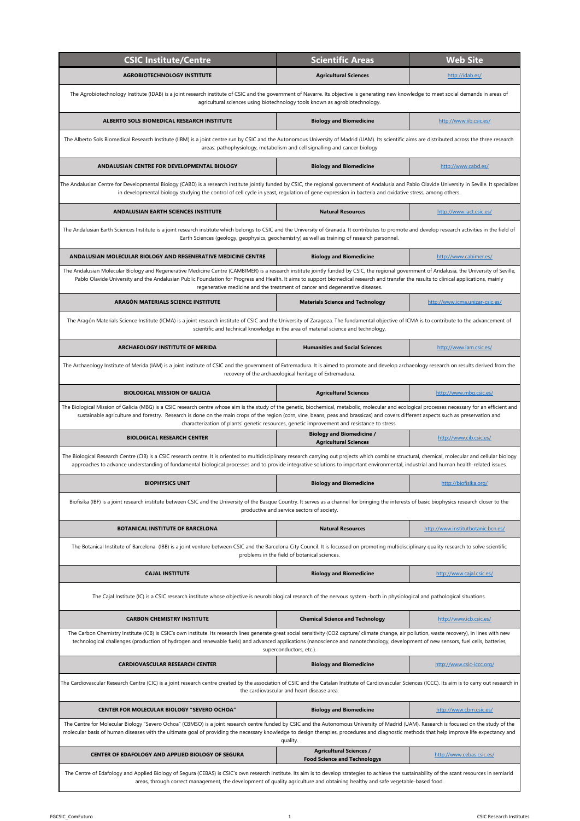| <b>CSIC Institute/Centre</b>                                                                                                                                                                                                                                                                                                                                                                                                                                                               | <b>Scientific Areas</b>                                                                       | <b>Web Site</b>                    |  |
|--------------------------------------------------------------------------------------------------------------------------------------------------------------------------------------------------------------------------------------------------------------------------------------------------------------------------------------------------------------------------------------------------------------------------------------------------------------------------------------------|-----------------------------------------------------------------------------------------------|------------------------------------|--|
| <b>AGROBIOTECHNOLOGY INSTITUTE</b>                                                                                                                                                                                                                                                                                                                                                                                                                                                         | <b>Agricultural Sciences</b>                                                                  | http://idab.es/                    |  |
| The Agrobiotechnology Institute (IDAB) is a joint research institute of CSIC and the government of Navarre. Its objective is generating new knowledge to meet social demands in areas of<br>agricultural sciences using biotechnology tools known as agrobiotechnology.                                                                                                                                                                                                                    |                                                                                               |                                    |  |
| ALBERTO SOLS BIOMEDICAL RESEARCH INSTITUTE                                                                                                                                                                                                                                                                                                                                                                                                                                                 | <b>Biology and Biomedicine</b>                                                                | http://www.iib.csic.es/            |  |
| The Alberto Sols Biomedical Research Institute (IIBM) is a joint centre run by CSIC and the Autonomous University of Madrid (UAM). Its scientific aims are distributed across the three research                                                                                                                                                                                                                                                                                           | areas: pathophysiology, metabolism and cell signalling and cancer biology                     |                                    |  |
| ANDALUSIAN CENTRE FOR DEVELOPMENTAL BIOLOGY                                                                                                                                                                                                                                                                                                                                                                                                                                                | <b>Biology and Biomedicine</b>                                                                | http://www.cabd.es/                |  |
| The Andalusian Centre for Developmental Biology (CABD) is a research institute jointly funded by CSIC, the regional government of Andalusia and Pablo Olavide University in Seville. It specializes<br>in developmental biology studying the control of cell cycle in yeast, regulation of gene expression in bacteria and oxidative stress, among others.                                                                                                                                 |                                                                                               |                                    |  |
| ANDALUSIAN EARTH SCIENCES INSTITUTE                                                                                                                                                                                                                                                                                                                                                                                                                                                        | <b>Natural Resources</b>                                                                      | http://www.iact.csic.es/           |  |
| The Andalusian Earth Sciences Institute is a joint research institute which belongs to CSIC and the University of Granada. It contributes to promote and develop research activities in the field of                                                                                                                                                                                                                                                                                       | Earth Sciences (geology, geophysics, geochemistry) as well as training of research personnel. |                                    |  |
| ANDALUSIAN MOLECULAR BIOLOGY AND REGENERATIVE MEDICINE CENTRE                                                                                                                                                                                                                                                                                                                                                                                                                              | <b>Biology and Biomedicine</b>                                                                | http://www.cabimer.es/             |  |
| The Andalusian Molecular Biology and Regenerative Medicine Centre (CAMBIMER) is a research institute jointly funded by CSIC, the regional government of Andalusia, the University of Seville,<br>Pablo Olavide University and the Andalusian Public Foundation for Progress and Health. It aims to support biomedical research and transfer the results to clinical applications, mainly                                                                                                   | regenerative medicine and the treatment of cancer and degenerative diseases.                  |                                    |  |
| <b>ARAGÓN MATERIALS SCIENCE INSTITUTE</b>                                                                                                                                                                                                                                                                                                                                                                                                                                                  | <b>Materials Science and Technology</b>                                                       | http://www.icma.unizar-csic.es/    |  |
| The Aragón Materials Science Institute (ICMA) is a joint research institute of CSIC and the University of Zaragoza. The fundamental objective of ICMA is to contribute to the advancement of                                                                                                                                                                                                                                                                                               | scientific and technical knowledge in the area of material science and technology.            |                                    |  |
| ARCHAEOLOGY INSTITUTE OF MERIDA                                                                                                                                                                                                                                                                                                                                                                                                                                                            | <b>Humanities and Social Sciences</b>                                                         | http://www.iam.csic.es/            |  |
| The Archaeology Institute of Merida (IAM) is a joint institute of CSIC and the government of Extremadura. It is aimed to promote and develop archaeology research on results derived from the<br>recovery of the archaeological heritage of Extremadura.                                                                                                                                                                                                                                   |                                                                                               |                                    |  |
| <b>BIOLOGICAL MISSION OF GALICIA</b>                                                                                                                                                                                                                                                                                                                                                                                                                                                       | <b>Agricultural Sciences</b>                                                                  | http://www.mbg.csic.es/            |  |
| The Biological Mission of Galicia (MBG) is a CSIC research centre whose aim is the study of the genetic, biochemical, metabolic, molecular and ecological processes necessary for an efficient and<br>sustainable agriculture and forestry. Research is done on the main crops of the region (corn, vine, beans, peas and brassicas) and covers different aspects such as preservation and<br>characterization of plants' genetic resources, genetic improvement and resistance to stress. |                                                                                               |                                    |  |
| <b>BIOLOGICAL RESEARCH CENTER</b>                                                                                                                                                                                                                                                                                                                                                                                                                                                          | <b>Biology and Biomedicine /</b><br><b>Agricultural Sciences</b>                              | http://www.cib.csic.es/            |  |
| The Biological Research Centre (CIB) is a CSIC research centre. It is oriented to multidisciplinary research carrying out projects which combine structural, chemical, molecular and cellular biology<br>approaches to advance understanding of fundamental biological processes and to provide integrative solutions to important environmental, industrial and human health-related issues.                                                                                              |                                                                                               |                                    |  |
| <b>BIOPHYSICS UNIT</b>                                                                                                                                                                                                                                                                                                                                                                                                                                                                     | <b>Biology and Biomedicine</b>                                                                | http://biofisika.org/              |  |
| Biofisika (IBF) is a joint research institute between CSIC and the University of the Basque Country. It serves as a channel for bringing the interests of basic biophysics research closer to the                                                                                                                                                                                                                                                                                          | productive and service sectors of society.                                                    |                                    |  |
| BOTANICAL INSTITUTE OF BARCELONA                                                                                                                                                                                                                                                                                                                                                                                                                                                           | <b>Natural Resources</b>                                                                      | http://www.institutbotanic.bcn.es/ |  |
| The Botanical Institute of Barcelona (IBB) is a joint venture between CSIC and the Barcelona City Council. It is focussed on promoting multidisciplinary quality research to solve scientific                                                                                                                                                                                                                                                                                              | problems in the field of botanical sciences.                                                  |                                    |  |
| <b>CAJAL INSTITUTE</b>                                                                                                                                                                                                                                                                                                                                                                                                                                                                     | <b>Biology and Biomedicine</b>                                                                | http://www.cajal.csic.es/          |  |
| The Cajal Institute (IC) is a CSIC research institute whose objective is neurobiological research of the nervous system -both in physiological and pathological situations.                                                                                                                                                                                                                                                                                                                |                                                                                               |                                    |  |
| <b>CARBON CHEMISTRY INSTITUTE</b>                                                                                                                                                                                                                                                                                                                                                                                                                                                          | <b>Chemical Science and Technology</b>                                                        | http://www.icb.csic.es/            |  |
| The Carbon Chemistry Institute (ICB) is CSIC's own institute. Its research lines generate great social sensitivity (CO2 capture/ climate change, air pollution, waste recovery), in lines with new<br>technological challenges (production of hydrogen and renewable fuels) and advanced applications (nanoscience and nanotechnology, development of new sensors, fuel cells, batteries,                                                                                                  | superconductors, etc.).                                                                       |                                    |  |
| <b>CARDIOVASCULAR RESEARCH CENTER</b>                                                                                                                                                                                                                                                                                                                                                                                                                                                      | <b>Biology and Biomedicine</b>                                                                | http://www.csic-iccc.org/          |  |
| The Cardiovascular Research Centre (CIC) is a joint research centre created by the association of CSIC and the Catalan Institute of Cardiovascular Sciences (ICCC). Its aim is to carry out research in<br>the cardiovascular and heart disease area.                                                                                                                                                                                                                                      |                                                                                               |                                    |  |
| <b>CENTER FOR MOLECULAR BIOLOGY "SEVERO OCHOA"</b>                                                                                                                                                                                                                                                                                                                                                                                                                                         | <b>Biology and Biomedicine</b>                                                                | http://www.cbm.csic.es/            |  |
| The Centre for Molecular Biology "Severo Ochoa" (CBMSO) is a joint research centre funded by CSIC and the Autonomous University of Madrid (UAM). Research is focused on the study of the<br>molecular basis of human diseases with the ultimate goal of providing the necessary knowledge to design therapies, procedures and diagnostic methods that help improve life expectancy and<br>quality.                                                                                         |                                                                                               |                                    |  |
| CENTER OF EDAFOLOGY AND APPLIED BIOLOGY OF SEGURA                                                                                                                                                                                                                                                                                                                                                                                                                                          | <b>Agricultural Sciences /</b><br><b>Food Science and Technologys</b>                         | http://www.cebas.csic.es/          |  |
| The Centre of Edafology and Applied Biology of Segura (CEBAS) is CSIC's own research institute. Its aim is to develop strategies to achieve the sustainability of the scant resources in semiarid<br>areas, through correct management, the development of quality agriculture and obtaining healthy and safe vegetable-based food.                                                                                                                                                        |                                                                                               |                                    |  |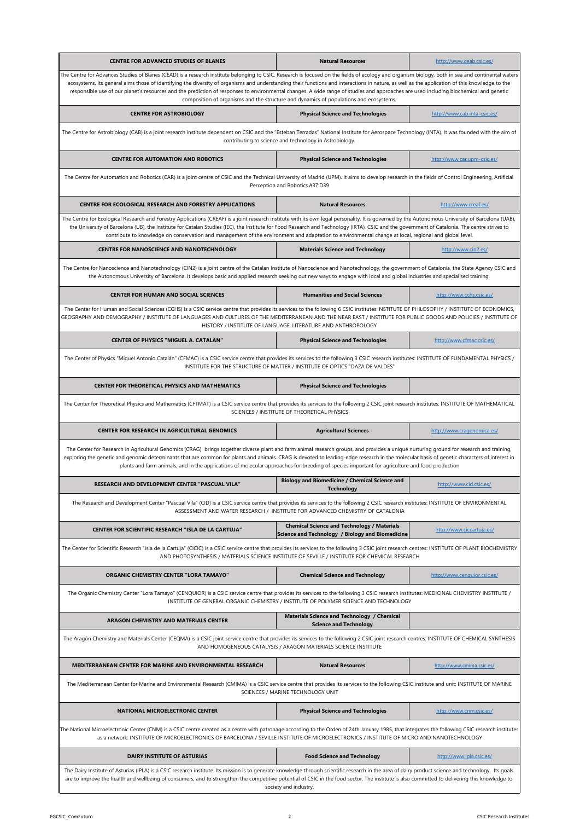| CENTRE FOR ADVANCED STUDIES OF BLANES                                                                                                                                                                                                                                                                                                                                                                                                                                                                                                                                                                                                                                                  | <b>Natural Resources</b>                                                                               | http://www.ceab.csic.es/     |  |
|----------------------------------------------------------------------------------------------------------------------------------------------------------------------------------------------------------------------------------------------------------------------------------------------------------------------------------------------------------------------------------------------------------------------------------------------------------------------------------------------------------------------------------------------------------------------------------------------------------------------------------------------------------------------------------------|--------------------------------------------------------------------------------------------------------|------------------------------|--|
| The Centre for Advances Studies of Blanes (CEAD) is a research institute belonging to CSIC. Research is focused on the fields of ecology and organism biology, both in sea and continental waters<br>ecosystems. Its general aims those of identifying the diversity of organisms and understanding their functions and interactions in nature, as well as the application of this knowledge to the<br>responsible use of our planet's resources and the prediction of responses to environmental changes. A wide range of studies and approaches are used including biochemical and genetic<br>composition of organisms and the structure and dynamics of populations and ecosystems. |                                                                                                        |                              |  |
| <b>CENTRE FOR ASTROBIOLOGY</b>                                                                                                                                                                                                                                                                                                                                                                                                                                                                                                                                                                                                                                                         | <b>Physical Science and Technologies</b>                                                               | http://www.cab.inta-csic.es/ |  |
| The Centre for Astrobiology (CAB) is a joint research institute dependent on CSIC and the "Esteban Terradas" National Institute for Aerospace Technology (INTA). It was founded with the aim of                                                                                                                                                                                                                                                                                                                                                                                                                                                                                        | contributing to science and technology in Astrobiology.                                                |                              |  |
| <b>CENTRE FOR AUTOMATION AND ROBOTICS</b>                                                                                                                                                                                                                                                                                                                                                                                                                                                                                                                                                                                                                                              | <b>Physical Science and Technologies</b>                                                               | http://www.car.upm-csic.es/  |  |
| The Centre for Automation and Robotics (CAR) is a joint centre of CSIC and the Technical University of Madrid (UPM). It aims to develop research in the fields of Control Engineering, Artificial                                                                                                                                                                                                                                                                                                                                                                                                                                                                                      | Perception and Robotics.A37:D39                                                                        |                              |  |
| CENTRE FOR ECOLOGICAL RESEARCH AND FORESTRY APPLICATIONS                                                                                                                                                                                                                                                                                                                                                                                                                                                                                                                                                                                                                               | <b>Natural Resources</b>                                                                               | http://www.creaf.es/         |  |
| The Centre for Ecological Research and Forestry Applications (CREAF) is a joint research institute with its own legal personality. It is governed by the Autonomous University of Barcelona (UAB),<br>the University of Barcelona (UB), the Institute for Catalan Studies (IEC), the Institute for Food Research and Technology (IRTA), CSIC and the government of Catalonia. The centre strives to<br>contribute to knowledge on conservation and management of the environment and adaptation to environmental change at local, regional and global level.                                                                                                                           |                                                                                                        |                              |  |
| CENTRE FOR NANOSCIENCE AND NANOTECHNOLOGY                                                                                                                                                                                                                                                                                                                                                                                                                                                                                                                                                                                                                                              | <b>Materials Science and Technology</b>                                                                | http://www.cin2.es/          |  |
| The Centre for Nanoscience and Nanotechnology (CIN2) is a joint centre of the Catalan Institute of Nanoscience and Nanotechnology, the government of Catalonia, the State Agency CSIC and<br>the Autonomous University of Barcelona. It develops basic and applied research seeking out new ways to engage with local and global industries and specialised training.                                                                                                                                                                                                                                                                                                                  |                                                                                                        |                              |  |
| <b>CENTER FOR HUMAN AND SOCIAL SCIENCES</b>                                                                                                                                                                                                                                                                                                                                                                                                                                                                                                                                                                                                                                            | <b>Humanities and Social Sciences</b>                                                                  | http://www.cchs.csic.es/     |  |
| The Center for Human and Social Sciences (CCHS) is a CSIC service centre that provides its services to the following 6 CSIC institutes: NSTITUTE OF PHILOSOPHY / INSTITUTE OF ECONOMICS,<br>GEOGRAPHY AND DEMOGRAPHY / INSTITUTE OF LANGUAGES AND CULTURES OF THE MEDITERRANEAN AND THE NEAR EAST / INSTITUTE FOR PUBLIC GOODS AND POLICIES / INSTITUTE OF                                                                                                                                                                                                                                                                                                                             | HISTORY / INSTITUTE OF LANGUAGE, LITERATURE AND ANTHROPOLOGY                                           |                              |  |
| <b>CENTER OF PHYSICS "MIGUEL A. CATALAN"</b>                                                                                                                                                                                                                                                                                                                                                                                                                                                                                                                                                                                                                                           | <b>Physical Science and Technologies</b>                                                               | http://www.cfmac.csic.es/    |  |
| The Center of Physics "Miguel Antonio Catalán" (CFMAC) is a CSIC service centre that provides its services to the following 3 CSIC research institutes: INSTITUTE OF FUNDAMENTAL PHYSICS /<br>INSTITUTE FOR THE STRUCTURE OF MATTER / INSTITUTE OF OPTICS "DAZA DE VALDES"                                                                                                                                                                                                                                                                                                                                                                                                             |                                                                                                        |                              |  |
| CENTER FOR THEORETICAL PHYSICS AND MATHEMATICS                                                                                                                                                                                                                                                                                                                                                                                                                                                                                                                                                                                                                                         | <b>Physical Science and Technologies</b>                                                               |                              |  |
| The Center for Theoretical Physics and Mathematics (CFTMAT) is a CSIC service centre that provides its services to the following 2 CSIC joint research institutes: INSTITUTE OF MATHEMATICAL                                                                                                                                                                                                                                                                                                                                                                                                                                                                                           | SCIENCES / INSTITUTE OF THEORETICAL PHYSICS                                                            |                              |  |
|                                                                                                                                                                                                                                                                                                                                                                                                                                                                                                                                                                                                                                                                                        |                                                                                                        |                              |  |
| CENTER FOR RESEARCH IN AGRICULTURAL GENOMICS                                                                                                                                                                                                                                                                                                                                                                                                                                                                                                                                                                                                                                           | <b>Agricultural Sciences</b>                                                                           | http://www.cragenomica.es/   |  |
| The Center for Research in Agricultural Genomics (CRAG) brings together diverse plant and farm animal research groups, and provides a unique nurturing ground for research and training,<br>exploring the genetic and genomic determinants that are common for plants and animals. CRAG is devoted to leading-edge research in the molecular basis of genetic characters of interest in<br>plants and farm animals, and in the applications of molecular approaches for breeding of species important for agriculture and food production                                                                                                                                              |                                                                                                        |                              |  |
| <b>RESEARCH AND DEVELOPMENT CENTER "PASCUAL VILA"</b>                                                                                                                                                                                                                                                                                                                                                                                                                                                                                                                                                                                                                                  | <b>Biology and Biomedicine / Chemical Science and</b><br><b>Technology</b>                             | http://www.cid.csic.es/      |  |
| The Research and Development Center "Pascual Vila" (CID) is a CSIC service centre that provides its services to the following 2 CSIC research institutes: INSTITUTE OF ENVIRONMENTAL                                                                                                                                                                                                                                                                                                                                                                                                                                                                                                   | ASSESSMENT AND WATER RESEARCH / INSTITUTE FOR ADVANCED CHEMISTRY OF CATALONIA                          |                              |  |
| CENTER FOR SCIENTIFIC RESEARCH "ISLA DE LA CARTUJA"                                                                                                                                                                                                                                                                                                                                                                                                                                                                                                                                                                                                                                    | <b>Chemical Science and Technology / Materials</b><br>Science and Technology / Biology and Biomedicine | http://www.ciccartuja.es/    |  |
| The Center for Scientific Research "Isla de la Cartuja" (CICIC) is a CSIC service centre that provides its services to the following 3 CSIC joint research centres: INSTITUTE OF PLANT BIOCHEMISTRY                                                                                                                                                                                                                                                                                                                                                                                                                                                                                    | AND PHOTOSYNTHESIS / MATERIALS SCIENCE INSTITUTE OF SEVILLE / INSTITUTE FOR CHEMICAL RESEARCH          |                              |  |
| ORGANIC CHEMISTRY CENTER "LORA TAMAYO"                                                                                                                                                                                                                                                                                                                                                                                                                                                                                                                                                                                                                                                 | <b>Chemical Science and Technology</b>                                                                 | http://www.cenquior.csic.es/ |  |
| The Organic Chemistry Center "Lora Tamayo" (CENQUIOR) is a CSIC service centre that provides its services to the following 3 CSIC research institutes: MEDICINAL CHEMISTRY INSTITUTE /                                                                                                                                                                                                                                                                                                                                                                                                                                                                                                 | INSTITUTE OF GENERAL ORGANIC CHEMISTRY / INSTITUTE OF POLYMER SCIENCE AND TECHNOLOGY                   |                              |  |
| ARAGON CHEMISTRY AND MATERIALS CENTER                                                                                                                                                                                                                                                                                                                                                                                                                                                                                                                                                                                                                                                  | Materials Science and Technology / Chemical<br><b>Science and Technology</b>                           |                              |  |
| The Aragón Chemistry and Materials Center (CEQMA) is a CSIC joint service centre that provides its services to the following 2 CSIC joint research centres: INSTITUTE OF CHEMICAL SYNTHESIS                                                                                                                                                                                                                                                                                                                                                                                                                                                                                            | AND HOMOGENEOUS CATALYSIS / ARAGÓN MATERIALS SCIENCE INSTITUTE                                         |                              |  |
| MEDITERRANEAN CENTER FOR MARINE AND ENVIRONMENTAL RESEARCH                                                                                                                                                                                                                                                                                                                                                                                                                                                                                                                                                                                                                             | <b>Natural Resources</b>                                                                               | http://www.cmima.csic.es/    |  |
| The Mediterranean Center for Marine and Environmental Research (CMIMA) is a CSIC service centre that provides its services to the following CSIC institute and unit: INSTITUTE OF MARINE                                                                                                                                                                                                                                                                                                                                                                                                                                                                                               | SCIENCES / MARINE TECHNOLOGY UNIT                                                                      |                              |  |
| NATIONAL MICROELECTRONIC CENTER                                                                                                                                                                                                                                                                                                                                                                                                                                                                                                                                                                                                                                                        | <b>Physical Science and Technologies</b>                                                               | http://www.cnm.csic.es/      |  |
| The National Microelectronic Center (CNM) is a CSIC centre created as a centre with patronage according to the Orden of 24th January 1985, that integrates the following CSIC research institutes<br>as a network: INSTITUTE OF MICROELECTRONICS OF BARCELONA / SEVILLE INSTITUTE OF MICROELECTRONICS / INSTITUTE OF MICRO AND NANOTECHNOLOGY                                                                                                                                                                                                                                                                                                                                          |                                                                                                        |                              |  |
| <b>DAIRY INSTITUTE OF ASTURIAS</b>                                                                                                                                                                                                                                                                                                                                                                                                                                                                                                                                                                                                                                                     | <b>Food Science and Technology</b>                                                                     | http://www.ipla.csic.es/     |  |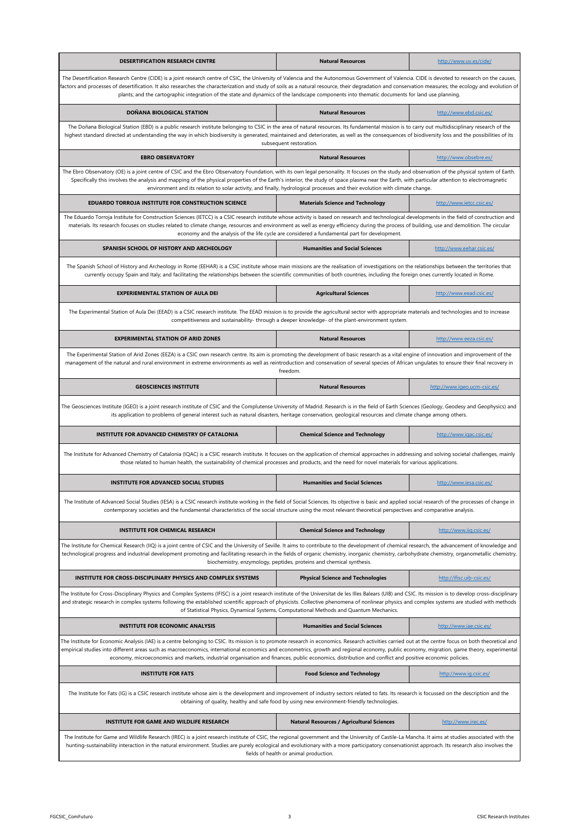| DESERTIFICATION RESEARCH CENTRE                                                                                                                                                                                                                                                                                                                                                                                                                                                                                                                               | <b>Natural Resources</b>                                                                         | http://www.uv.es/cide/       |  |  |
|---------------------------------------------------------------------------------------------------------------------------------------------------------------------------------------------------------------------------------------------------------------------------------------------------------------------------------------------------------------------------------------------------------------------------------------------------------------------------------------------------------------------------------------------------------------|--------------------------------------------------------------------------------------------------|------------------------------|--|--|
| The Desertification Research Centre (CIDE) is a joint research centre of CSIC, the University of Valencia and the Autonomous Government of Valencia. CIDE is devoted to research on the causes,<br>factors and processes of desertification. It also researches the characterization and study of soils as a natural resource, their degradation and conservation measures; the ecology and evolution of<br>plants; and the cartographic integration of the state and dynamics of the landscape components into thematic documents for land use planning.     |                                                                                                  |                              |  |  |
| DOÑANA BIOLOGICAL STATION                                                                                                                                                                                                                                                                                                                                                                                                                                                                                                                                     | <b>Natural Resources</b>                                                                         | http://www.ebd.csic.es/      |  |  |
| The Doñana Biological Station (EBD) is a public research institute belonging to CSIC in the area of natural resources. Its fundamental mission is to carry out multidisciplinary research of the<br>highest standard directed at understanding the way in which biodiversity is generated, maintained and deteriorates, as well as the consequences of biodiversity loss and the possibilities of its                                                                                                                                                         | subsequent restoration.                                                                          |                              |  |  |
| <b>EBRO OBSERVATORY</b>                                                                                                                                                                                                                                                                                                                                                                                                                                                                                                                                       | <b>Natural Resources</b>                                                                         | http://www.obsebre.es/       |  |  |
| The Ebro Observatory (OE) is a joint centre of CSIC and the Ebro Observatory Foundation, with its own legal personality. It focuses on the study and observation of the physical system of Earth.<br>Specifically this involves the analysis and mapping of the physical properties of the Earth's interior, the study of space plasma near the Earth, with particular attention to electromagnetic<br>environment and its relation to solar activity, and finally, hydrological processes and their evolution with climate change.                           |                                                                                                  |                              |  |  |
| EDUARDO TORROJA INSTITUTE FOR CONSTRUCTION SCIENCE                                                                                                                                                                                                                                                                                                                                                                                                                                                                                                            | <b>Materials Science and Technology</b>                                                          | http://www.ietcc.csic.es/    |  |  |
| The Eduardo Torroja Institute for Construction Sciences (IETCC) is a CSIC research institute whose activity is based on research and technological developments in the field of construction and<br>materials. Its research focuses on studies related to climate change, resources and environment as well as energy efficiency during the process of building, use and demolition. The circular                                                                                                                                                             | economy and the analysis of the life cycle are considered a fundamental part for development.    |                              |  |  |
| SPANISH SCHOOL OF HISTORY AND ARCHEOLOGY                                                                                                                                                                                                                                                                                                                                                                                                                                                                                                                      | <b>Humanities and Social Sciences</b>                                                            | http://www.eehar.csic.es/    |  |  |
| The Spanish School of History and Archeology in Rome (EEHAR) is a CSIC institute whose main missions are the realisation of investigations on the relationships between the territories that<br>currently occupy Spain and Italy; and facilitating the relationships between the scientific communities of both countries, including the foreign ones currently located in Rome.                                                                                                                                                                              |                                                                                                  |                              |  |  |
| <b>EXPERIEMENTAL STATION OF AULA DEI</b>                                                                                                                                                                                                                                                                                                                                                                                                                                                                                                                      | <b>Agricultural Sciences</b>                                                                     | http://www.eead.csic.es/     |  |  |
| The Experimental Station of Aula Dei (EEAD) is a CSIC research institute. The EEAD mission is to provide the agricultural sector with appropriate materials and technologies and to increase                                                                                                                                                                                                                                                                                                                                                                  | competitiveness and sustainability- through a deeper knowledge- of the plant-environment system. |                              |  |  |
| <b>EXPERIMENTAL STATION OF ARID ZONES</b>                                                                                                                                                                                                                                                                                                                                                                                                                                                                                                                     | <b>Natural Resources</b>                                                                         | http://www.eeza.csic.es/     |  |  |
| The Experimental Station of Arid Zones (EEZA) is a CSIC own research centre. Its aim is promoting the development of basic research as a vital engine of innovation and improvement of the<br>management of the natural and rural environment in extreme environments as well as reintroduction and conservation of several species of African ungulates to ensure their final recovery in<br>freedom.                                                                                                                                                        |                                                                                                  |                              |  |  |
| <b>GEOSCIENCES INSTITUTE</b>                                                                                                                                                                                                                                                                                                                                                                                                                                                                                                                                  | <b>Natural Resources</b>                                                                         | http://www.igeo.ucm-csic.es/ |  |  |
| The Geosciences Institute (IGEO) is a joint research institute of CSIC and the Complutense University of Madrid. Research is in the field of Earth Sciences (Geology, Geodesy and Geophysics) and<br>its application to problems of general interest such as natural disasters, heritage conservation, geological resources and climate change among others.                                                                                                                                                                                                  |                                                                                                  |                              |  |  |
| INSTITUTE FOR ADVANCED CHEMISTRY OF CATALONIA                                                                                                                                                                                                                                                                                                                                                                                                                                                                                                                 | <b>Chemical Science and Technology</b>                                                           | http://www.iqac.csic.es/     |  |  |
| The Institute for Advanced Chemistry of Catalonia (IQAC) is a CSIC research institute. It focuses on the application of chemical approaches in addressing and solving societal challenges, mainly<br>those related to human health, the sustainability of chemical processes and products, and the need for novel materials for various applications.                                                                                                                                                                                                         |                                                                                                  |                              |  |  |
| <b>INSTITUTE FOR ADVANCED SOCIAL STUDIES</b>                                                                                                                                                                                                                                                                                                                                                                                                                                                                                                                  | <b>Humanities and Social Sciences</b>                                                            | http://www.iesa.csic.es/     |  |  |
| The Institute of Advanced Social Studies (IESA) is a CSIC research institute working in the field of Social Sciences. Its objective is basic and applied social research of the processes of change in<br>contemporary societies and the fundamental characteristics of the social structure using the most relevant theoretical perspectives and comparative analysis.                                                                                                                                                                                       |                                                                                                  |                              |  |  |
| <b>INSTITUTE FOR CHEMICAL RESEARCH</b>                                                                                                                                                                                                                                                                                                                                                                                                                                                                                                                        | <b>Chemical Science and Technology</b>                                                           | http://www.iiq.csic.es/      |  |  |
| The Institute for Chemical Research (IIQ) is a joint centre of CSIC and the University of Seville. It aims to contribute to the development of chemical research, the advancement of knowledge and<br>technological progress and industrial development promoting and facilitating research in the fields of organic chemistry, inorganic chemistry, carbohydrate chemistry, organometallic chemistry,<br>biochemistry, enzymology, peptides, proteins and chemical synthesis.                                                                                |                                                                                                  |                              |  |  |
| <b>INSTITUTE FOR CROSS-DISCIPLINARY PHYSICS AND COMPLEX SYSTEMS</b>                                                                                                                                                                                                                                                                                                                                                                                                                                                                                           | <b>Physical Science and Technologies</b>                                                         | http://ifisc.uib-csic.es/    |  |  |
| The Institute for Cross-Disciplinary Physics and Complex Systems (IFISC) is a joint research institute of the Universitat de les Illes Balears (UIB) and CSIC. Its mission is to develop cross-disciplinary<br>and strategic research in complex systems following the established scientific approach of physicists. Collective phenomena of nonlinear physics and complex systems are studied with methods<br>of Statistical Physics, Dynamical Systems, Computational Methods and Quantum Mechanics.                                                       |                                                                                                  |                              |  |  |
| <b>INSTITUTE FOR ECONOMIC ANALYSIS</b>                                                                                                                                                                                                                                                                                                                                                                                                                                                                                                                        | <b>Humanities and Social Sciences</b>                                                            | http://www.iae.csic.es/      |  |  |
| The Institute for Economic Analysis (IAE) is a centre belonging to CSIC. Its mission is to promote research in economics. Research activities carried out at the centre focus on both theoretical and<br>empirical studies into different areas such as macroeconomics, international economics and econometrics, growth and regional economy, public economy, migration, game theory, experimental<br>economy, microeconomics and markets, industrial organisation and finances, public economics, distribution and conflict and positive economic policies. |                                                                                                  |                              |  |  |
| <b>INSTITUTE FOR FATS</b>                                                                                                                                                                                                                                                                                                                                                                                                                                                                                                                                     | <b>Food Science and Technology</b>                                                               | http://www.ig.csic.es/       |  |  |
| The Institute for Fats (IG) is a CSIC research institute whose aim is the development and improvement of industry sectors related to fats. Its research is focussed on the description and the<br>obtaining of quality, healthy and safe food by using new environment-friendly technologies.                                                                                                                                                                                                                                                                 |                                                                                                  |                              |  |  |
| INSTITUTE FOR GAME AND WILDLIFE RESEARCH                                                                                                                                                                                                                                                                                                                                                                                                                                                                                                                      | <b>Natural Resources / Agricultural Sciences</b>                                                 | http://www.irec.es/          |  |  |
| The Institute for Game and Wildlife Research (IREC) is a joint research institute of CSIC, the regional government and the University of Castile-La Mancha. It aims at studies associated with the<br>hunting-sustainability interaction in the natural environment. Studies are purely ecological and evolutionary with a more participatory conservationist approach. Its research also involves the                                                                                                                                                        | fields of health or animal production.                                                           |                              |  |  |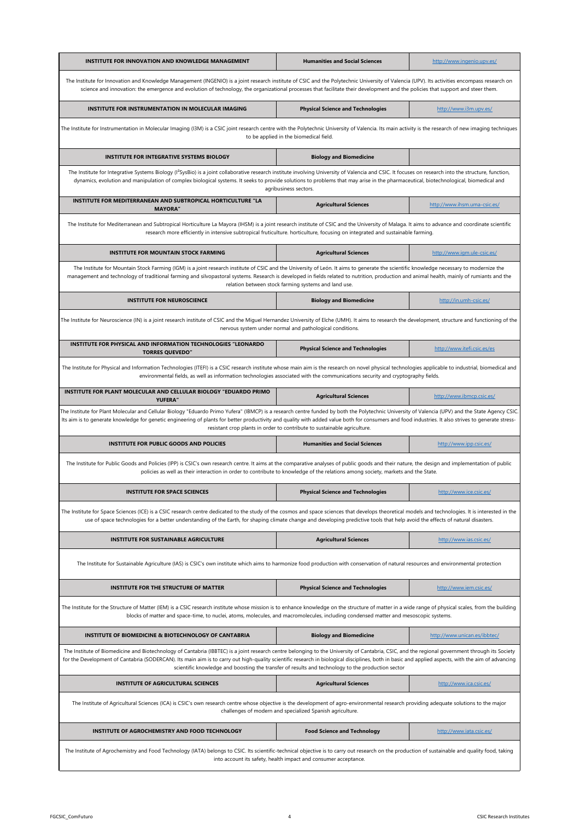| <b>INSTITUTE FOR INNOVATION AND KNOWLEDGE MANAGEMENT</b>                                                                                                                                                                                                                                                                                                                                                                                                                                                   | <b>Humanities and Social Sciences</b>                                                                                            | http://www.ingenio.upv.es/   |  |
|------------------------------------------------------------------------------------------------------------------------------------------------------------------------------------------------------------------------------------------------------------------------------------------------------------------------------------------------------------------------------------------------------------------------------------------------------------------------------------------------------------|----------------------------------------------------------------------------------------------------------------------------------|------------------------------|--|
| The Institute for Innovation and Knowledge Management (INGENIO) is a joint research institute of CSIC and the Polytechnic University of Valencia (UPV). Its activities encompass research on<br>science and innovation: the emergence and evolution of technology, the organizational processes that facilitate their development and the policies that support and steer them.                                                                                                                            |                                                                                                                                  |                              |  |
| INSTITUTE FOR INSTRUMENTATION IN MOLECULAR IMAGING                                                                                                                                                                                                                                                                                                                                                                                                                                                         | <b>Physical Science and Technologies</b>                                                                                         | http://www.i3m.upv.es/       |  |
| The Institute for Instrumentation in Molecular Imaging (I3M) is a CSIC joint research centre with the Polytechnic University of Valencia. Its main activity is the research of new imaging techniques                                                                                                                                                                                                                                                                                                      | to be applied in the biomedical field.                                                                                           |                              |  |
| INSTITUTE FOR INTEGRATIVE SYSTEMS BIOLOGY                                                                                                                                                                                                                                                                                                                                                                                                                                                                  | <b>Biology and Biomedicine</b>                                                                                                   |                              |  |
| The Institute for Integrative Systems Biology (I <sup>2</sup> SysBio) is a joint collaborative research institute involving University of Valencia and CSIC. It focuses on research into the structure, function,<br>dynamics, evolution and manipulation of complex biological systems. It seeks to provide solutions to problems that may arise in the pharmaceutical, biotechnological, biomedical and                                                                                                  | agribusiness sectors.                                                                                                            |                              |  |
| INSTITUTE FOR MEDITERRANEAN AND SUBTROPICAL HORTICULTURE "LA<br><b>MAYORA"</b>                                                                                                                                                                                                                                                                                                                                                                                                                             | <b>Agricultural Sciences</b>                                                                                                     | http://www.ihsm.uma-csic.es/ |  |
| The Institute for Mediterranean and Subtropical Horticulture La Mayora (IHSM) is a joint research institute of CSIC and the University of Malaga. It aims to advance and coordinate scientific                                                                                                                                                                                                                                                                                                             | research more efficiently in intensive subtropical fruticulture. horticulture, focusing on integrated and sustainable farming.   |                              |  |
| <b>INSTITUTE FOR MOUNTAIN STOCK FARMING</b>                                                                                                                                                                                                                                                                                                                                                                                                                                                                | <b>Agricultural Sciences</b>                                                                                                     | http://www.igm.ule-csic.es/  |  |
| The Institute for Mountain Stock Farming (IGM) is a joint research institute of CSIC and the University of León. It aims to generate the scientific knowledge necessary to modernize the<br>management and technology of traditional farming and silvopastoral systems. Research is developed in fields related to nutrition, production and animal health, mainly of rumiants and the                                                                                                                     | relation between stock farming systems and land use.                                                                             |                              |  |
| <b>INSTITUTE FOR NEUROSCIENCE</b>                                                                                                                                                                                                                                                                                                                                                                                                                                                                          | <b>Biology and Biomedicine</b>                                                                                                   | http://in.umh-csic.es/       |  |
| The Institute for Neuroscience (IN) is a joint research institute of CSIC and the Miguel Hernandez University of Elche (UMH). It aims to research the development, structure and functioning of the                                                                                                                                                                                                                                                                                                        | nervous system under normal and pathological conditions.                                                                         |                              |  |
| INSTITUTE FOR PHYSICAL AND INFORMATION TECHNOLOGIES "LEONARDO<br><b>TORRES QUEVEDO"</b>                                                                                                                                                                                                                                                                                                                                                                                                                    | <b>Physical Science and Technologies</b>                                                                                         | http://www.itefi.csic.es/es  |  |
| The Institute for Physical and Information Technologies (ITEFI) is a CSIC research institute whose main aim is the research on novel physical technologies applicable to industrial, biomedical and<br>environmental fields, as well as information technologies associated with the communications security and cryptography fields.                                                                                                                                                                      |                                                                                                                                  |                              |  |
| INSTITUTE FOR PLANT MOLECULAR AND CELLULAR BIOLOGY "EDUARDO PRIMO<br>YUFERA"                                                                                                                                                                                                                                                                                                                                                                                                                               | <b>Agricultural Sciences</b>                                                                                                     | http://www.ibmcp.csic.es/    |  |
| The Institute for Plant Molecular and Cellular Biology "Eduardo Primo Yufera" (IBMCP) is a research centre funded by both the Polytechnic University of Valencia (UPV) and the State Agency CSIC.<br>Its aim is to generate knowledge for genetic engineering of plants for better productivity and quality with added value both for consumers and food industries. It also strives to generate stress-                                                                                                   | resistant crop plants in order to contribute to sustainable agriculture.                                                         |                              |  |
| INSTITUTE FOR PUBLIC GOODS AND POLICIES                                                                                                                                                                                                                                                                                                                                                                                                                                                                    | <b>Humanities and Social Sciences</b>                                                                                            | http://www.ipp.csic.es/      |  |
| The Institute for Public Goods and Policies (IPP) is CSIC's own research centre. It aims at the comparative analyses of public goods and their nature, the design and implementation of public                                                                                                                                                                                                                                                                                                             | policies as well as their interaction in order to contribute to knowledge of the relations among society, markets and the State. |                              |  |
| INSTITUTE FOR SPACE SCIENCES                                                                                                                                                                                                                                                                                                                                                                                                                                                                               | Physical Science and Technologies                                                                                                | http://www.ice.csic.es/      |  |
| The Institute for Space Sciences (ICE) is a CSIC research centre dedicated to the study of the cosmos and space sciences that develops theoretical models and technologies. It is interested in the<br>use of space technologies for a better understanding of the Earth, for shaping climate change and developing predictive tools that help avoid the effects of natural disasters.                                                                                                                     |                                                                                                                                  |                              |  |
| INSTITUTE FOR SUSTAINABLE AGRICULTURE                                                                                                                                                                                                                                                                                                                                                                                                                                                                      | <b>Agricultural Sciences</b>                                                                                                     | http://www.ias.csic.es/      |  |
| The Institute for Sustainable Agriculture (IAS) is CSIC's own institute which aims to harmonize food production with conservation of natural resources and environmental protection                                                                                                                                                                                                                                                                                                                        |                                                                                                                                  |                              |  |
| INSTITUTE FOR THE STRUCTURE OF MATTER                                                                                                                                                                                                                                                                                                                                                                                                                                                                      | <b>Physical Science and Technologies</b>                                                                                         | http://www.iem.csic.es/      |  |
| The Institute for the Structure of Matter (IEM) is a CSIC research institute whose mission is to enhance knowledge on the structure of matter in a wide range of physical scales, from the building<br>blocks of matter and space-time, to nuclei, atoms, molecules, and macromolecules, including condensed matter and mesoscopic systems.                                                                                                                                                                |                                                                                                                                  |                              |  |
| INSTITUTE OF BIOMEDICINE & BIOTECHNOLOGY OF CANTABRIA                                                                                                                                                                                                                                                                                                                                                                                                                                                      | <b>Biology and Biomedicine</b>                                                                                                   | http://www.unican.es/ibbtec/ |  |
| The Institute of Biomedicine and Biotechnology of Cantabria (IBBTEC) is a joint research centre belonging to the University of Cantabria, CSIC, and the regional government through its Society<br>for the Development of Cantabria (SODERCAN). Its main aim is to carry out high-quality scientific research in biological disciplines, both in basic and applied aspects, with the aim of advancing<br>scientific knowledge and boosting the transfer of results and technology to the production sector |                                                                                                                                  |                              |  |
| <b>INSTITUTE OF AGRICULTURAL SCIENCES</b>                                                                                                                                                                                                                                                                                                                                                                                                                                                                  | <b>Agricultural Sciences</b>                                                                                                     | http://www.ica.csic.es/      |  |
| The Institute of Agricultural Sciences (ICA) is CSIC's own research centre whose objective is the development of agro-environmental research providing adequate solutions to the major<br>challenges of modern and specialized Spanish agriculture.                                                                                                                                                                                                                                                        |                                                                                                                                  |                              |  |
| INSTITUTE OF AGROCHEMISTRY AND FOOD TECHNOLOGY                                                                                                                                                                                                                                                                                                                                                                                                                                                             | <b>Food Science and Technology</b>                                                                                               | http://www.iata.csic.es/     |  |
| The Institute of Agrochemistry and Food Technology (IATA) belongs to CSIC. Its scientific-technical objective is to carry out research on the production of sustainable and quality food, taking<br>into account its safety, health impact and consumer acceptance.                                                                                                                                                                                                                                        |                                                                                                                                  |                              |  |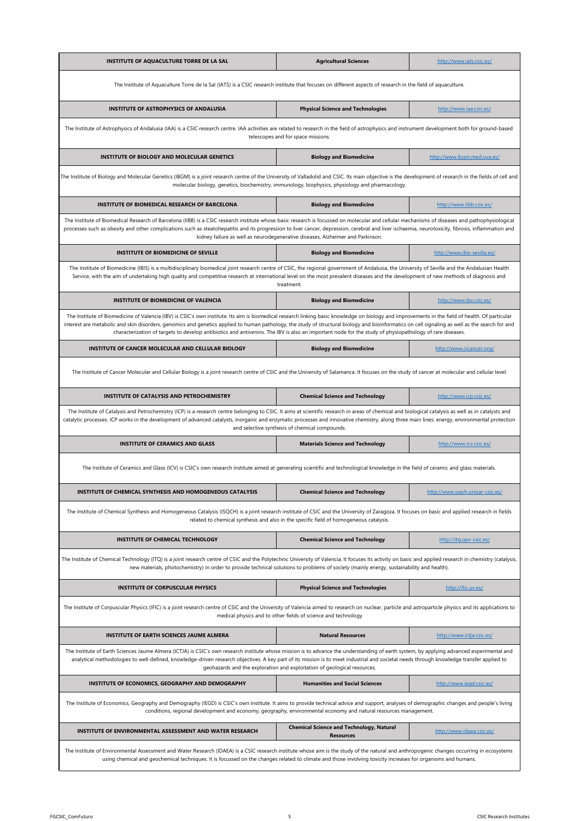| INSTITUTE OF AQUACULTURE TORRE DE LA SAL                                                                                                                                                                                                                                                                                                                                                                                                                                                                                                                       | <b>Agricultural Sciences</b>                                                                                     | http://www.iats.csic.es/         |  |
|----------------------------------------------------------------------------------------------------------------------------------------------------------------------------------------------------------------------------------------------------------------------------------------------------------------------------------------------------------------------------------------------------------------------------------------------------------------------------------------------------------------------------------------------------------------|------------------------------------------------------------------------------------------------------------------|----------------------------------|--|
| The Institute of Aquaculture Torre de la Sal (IATS) is a CSIC research institute that focuses on different aspects of research in the field of aquaculture.                                                                                                                                                                                                                                                                                                                                                                                                    |                                                                                                                  |                                  |  |
| INSTITUTE OF ASTROPHYSICS OF ANDALUSIA                                                                                                                                                                                                                                                                                                                                                                                                                                                                                                                         | <b>Physical Science and Technologies</b>                                                                         | http://www.iaa.csic.es/          |  |
| The Institute of Astrophysics of Andalusia (IAA) is a CSIC research centre. IAA activities are related to research in the field of astrophysics and instrument development both for ground-based                                                                                                                                                                                                                                                                                                                                                               | telescopes and for space missions.                                                                               |                                  |  |
| <b>INSTITUTE OF BIOLOGY AND MOLECULAR GENETICS</b>                                                                                                                                                                                                                                                                                                                                                                                                                                                                                                             | <b>Biology and Biomedicine</b>                                                                                   | http://www.ibgm.med.uva.es/      |  |
| The Institute of Biology and Molecular Genetics (IBGM) is a joint research centre of the University of Valladolid and CSIC. Its main objective is the development of research in the fields of cell and                                                                                                                                                                                                                                                                                                                                                        | molecular biology, genetics, biochemistry, immunology, biophysics, physiology and pharmacology.                  |                                  |  |
| INSTITUTE OF BIOMEDICAL RESEARCH OF BARCELONA                                                                                                                                                                                                                                                                                                                                                                                                                                                                                                                  | <b>Biology and Biomedicine</b>                                                                                   | http://www.iibb.csic.es/         |  |
| The Institute of Biomedical Research of Barcelona (IIBB) is a CSIC research institute whose basic research is focussed on molecular and cellular mechanisms of diseases and pathophysiological<br>processes such as obesity and other complications such as steatohepatitis and its progression to liver cancer, depression, cerebral and liver ischaemia, neurotoxicity, fibrosis, inflammation and                                                                                                                                                           | kidney failure as well as neurodegenerative diseases, Alzheimer and Parkinson.                                   |                                  |  |
| INSTITUTE OF BIOMEDICINE OF SEVILLE                                                                                                                                                                                                                                                                                                                                                                                                                                                                                                                            | <b>Biology and Biomedicine</b>                                                                                   | http://www.ibis-sevilla.es/      |  |
| The Institute of Biomedicine (IBIS) is a multidisciplinary biomedical joint research centre of CSIC, the regional government of Andalusia, the University of Seville and the Andalusian Health<br>Service, with the aim of undertaking high quality and competitive research at international level on the most prevalent diseases and the development of new methods of diagnosis and                                                                                                                                                                         | treatment.                                                                                                       |                                  |  |
| INSTITUTE OF BIOMEDICINE OF VALENCIA                                                                                                                                                                                                                                                                                                                                                                                                                                                                                                                           | <b>Biology and Biomedicine</b>                                                                                   | http://www.ibv.csic.es/          |  |
| The Institute of Biomedicine of Valencia (IBV) is CSIC's own institute. Its aim is biomedical research linking basic knowledge on biology and improvements in the field of health. Of particular<br>interest are metabolic and skin disorders, genomics and genetics applied to human pathology, the study of structural biology and bioinformatics on cell signaling as well as the search for and<br>characterization of targets to develop antibiotics and antivenins. The IBV is also an important node for the study of physiopathology of rare diseases. |                                                                                                                  |                                  |  |
| INSTITUTE OF CANCER MOLECULAR AND CELLULAR BIOLOGY                                                                                                                                                                                                                                                                                                                                                                                                                                                                                                             | <b>Biology and Biomedicine</b>                                                                                   | http://www.cicancer.org/         |  |
| The Institute of Cancer Molecular and Cellular Biology is a joint research centre of CSIC and the University of Salamanca. It focuses on the study of cancer at molecular and cellular level.                                                                                                                                                                                                                                                                                                                                                                  |                                                                                                                  |                                  |  |
| INSTITUTE OF CATALYSIS AND PETROCHEMISTRY                                                                                                                                                                                                                                                                                                                                                                                                                                                                                                                      | <b>Chemical Science and Technology</b>                                                                           | http://www.icp.csic.es/          |  |
| The Institute of Catalysis and Petrochemistry (ICP) is a research centre belonging to CSIC. It aims at scientific research in areas of chemical and biological catalysis as well as in catalysts and<br>catalytic processes. ICP works in the development of advanced catalysts, inorganic and enzymatic processes and innovative chemistry, along three main lines: energy, environmental protection<br>and selective synthesis of chemical compounds.                                                                                                        |                                                                                                                  |                                  |  |
| <b>INSTITUTE OF CERAMICS AND GLASS</b>                                                                                                                                                                                                                                                                                                                                                                                                                                                                                                                         | <b>Materials Science and Technology</b>                                                                          | http://www.icv.csic.es/          |  |
| The Institute of Ceramics and Glass (ICV) is CSIC's own research institute aimed at generating scientific and technological knowledge in the field of ceramic and glass materials.                                                                                                                                                                                                                                                                                                                                                                             |                                                                                                                  |                                  |  |
| INSTITUTE OF CHEMICAL SYNTHESIS AND HOMOGENEOUS CATALYSIS                                                                                                                                                                                                                                                                                                                                                                                                                                                                                                      | <b>Chemical Science and Technology</b>                                                                           | http://www.isqch.unizar-csic.es/ |  |
| The Institute of Chemical Synthesis and Homogeneous Catalysis (ISQCH) is a joint research institute of CSIC and the University of Zaragoza. It focuses on basic and applied research in fields                                                                                                                                                                                                                                                                                                                                                                 | related to chemical synthesis and also in the specific field of homogeneous catalysis.                           |                                  |  |
| INSTITUTE OF CHEMICAL TECHNOLOGY                                                                                                                                                                                                                                                                                                                                                                                                                                                                                                                               | <b>Chemical Science and Technology</b>                                                                           | http://itg.upv-csic.es/          |  |
| The Institute of Chemical Technology (ITQ) is a joint research centre of CSIC and the Polytechnic University of Valencia. It focuses its activity on basic and applied research in chemistry (catalysis,<br>new materials, photochemistry) in order to provide technical solutions to problems of society (mainly energy, sustainability and health).                                                                                                                                                                                                          |                                                                                                                  |                                  |  |
| <b>INSTITUTE OF CORPUSCULAR PHYSICS</b>                                                                                                                                                                                                                                                                                                                                                                                                                                                                                                                        | <b>Physical Science and Technologies</b>                                                                         | http://ific.uv.es/               |  |
| The Institute of Corpuscular Physics (IFIC) is a joint research centre of CSIC and the University of Valencia aimed to research on nuclear, particle and astroparticle physics and its applications to<br>medical physics and to other fields of science and technology                                                                                                                                                                                                                                                                                        |                                                                                                                  |                                  |  |
| INSTITUTE OF EARTH SCIENCES JAUME ALMERA                                                                                                                                                                                                                                                                                                                                                                                                                                                                                                                       | <b>Natural Resources</b>                                                                                         | http://www.ictja.csic.es/        |  |
| The Institute of Earth Sciences Jaume Almera (ICTJA) is CSIC's own research institute whose mission is to advance the understanding of earth system, by applying advanced experimental and<br>analytical methodologies to well-defined, knowledge-driven research objectives. A key part of its mission is to meet industrial and societal needs through knowledge transfer applied to<br>geohazards and the exploration and exploitation of geological resources.                                                                                             |                                                                                                                  |                                  |  |
| INSTITUTE OF ECONOMICS, GEOGRAPHY AND DEMOGRAPHY                                                                                                                                                                                                                                                                                                                                                                                                                                                                                                               | <b>Humanities and Social Sciences</b>                                                                            | http://www.iegd.csic.es/         |  |
| The Institute of Economics, Geography and Demography (IEGD) is CSIC's own institute. It aims to provide technical advice and support, analyses of demographic changes and people's living                                                                                                                                                                                                                                                                                                                                                                      | conditions, regional development and economy, geography, environmental economy and natural resources management. |                                  |  |
| INSTITUTE OF ENVIRONMENTAL ASSESSMENT AND WATER RESEARCH                                                                                                                                                                                                                                                                                                                                                                                                                                                                                                       | <b>Chemical Science and Technology, Natural</b><br><b>Resources</b>                                              | http://www.idaea.csic.es/        |  |
| The Institute of Environmental Assessment and Water Research (IDAEA) is a CSIC research institute whose aim is the study of the natural and anthropogenic changes occurring in ecosystems<br>using chemical and geochemical techniques. It is focussed on the changes related to climate and those involving toxicity increases for organisms and humans.                                                                                                                                                                                                      |                                                                                                                  |                                  |  |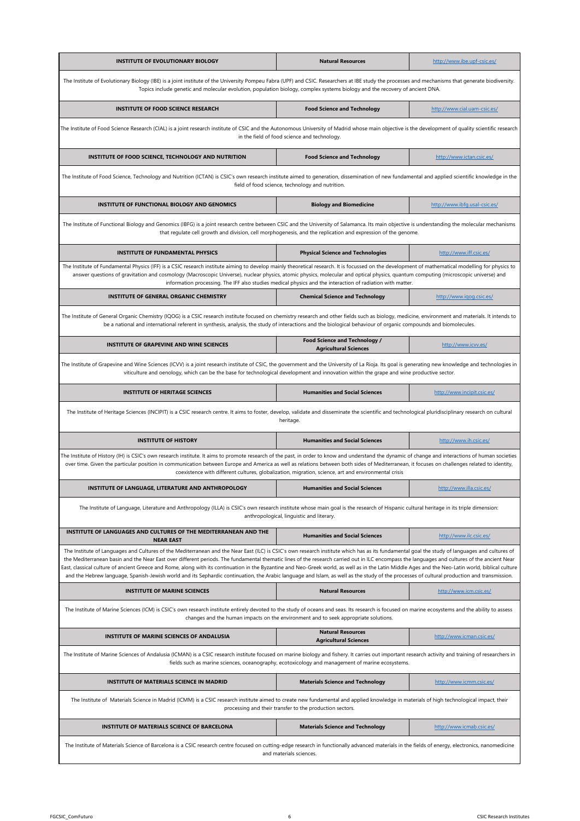| <b>INSTITUTE OF EVOLUTIONARY BIOLOGY</b>                                                                                                                                                                                                                                                                                                                                                                                                                                                                                                                                                                                                                                                                                                                                                             | <b>Natural Resources</b>                                                                                      | http://www.ibe.upf-csic.es/   |  |
|------------------------------------------------------------------------------------------------------------------------------------------------------------------------------------------------------------------------------------------------------------------------------------------------------------------------------------------------------------------------------------------------------------------------------------------------------------------------------------------------------------------------------------------------------------------------------------------------------------------------------------------------------------------------------------------------------------------------------------------------------------------------------------------------------|---------------------------------------------------------------------------------------------------------------|-------------------------------|--|
| The Institute of Evolutionary Biology (IBE) is a joint institute of the University Pompeu Fabra (UPF) and CSIC. Researchers at IBE study the processes and mechanisms that generate biodiversity.<br>Topics include genetic and molecular evolution, population biology, complex systems biology and the recovery of ancient DNA.                                                                                                                                                                                                                                                                                                                                                                                                                                                                    |                                                                                                               |                               |  |
| INSTITUTE OF FOOD SCIENCE RESEARCH                                                                                                                                                                                                                                                                                                                                                                                                                                                                                                                                                                                                                                                                                                                                                                   | <b>Food Science and Technology</b>                                                                            | http://www.cial.uam-csic.es/  |  |
| The Institute of Food Science Research (CIAL) is a joint research institute of CSIC and the Autonomous University of Madrid whose main objective is the development of quality scientific research                                                                                                                                                                                                                                                                                                                                                                                                                                                                                                                                                                                                   | in the field of food science and technology.                                                                  |                               |  |
| INSTITUTE OF FOOD SCIENCE, TECHNOLOGY AND NUTRITION                                                                                                                                                                                                                                                                                                                                                                                                                                                                                                                                                                                                                                                                                                                                                  | <b>Food Science and Technology</b>                                                                            | http://www.ictan.csic.es/     |  |
| The Institute of Food Science, Technology and Nutrition (ICTAN) is CSIC's own research institute aimed to generation, dissemination of new fundamental and applied scientific knowledge in the                                                                                                                                                                                                                                                                                                                                                                                                                                                                                                                                                                                                       | field of food science, technology and nutrition.                                                              |                               |  |
| INSTITUTE OF FUNCTIONAL BIOLOGY AND GENOMICS                                                                                                                                                                                                                                                                                                                                                                                                                                                                                                                                                                                                                                                                                                                                                         | <b>Biology and Biomedicine</b>                                                                                | http://www.ibfg.usal-csic.es/ |  |
| The Institute of Functional Biology and Genomics (IBFG) is a joint research centre between CSIC and the University of Salamanca. Its main objective is understanding the molecular mechanisms                                                                                                                                                                                                                                                                                                                                                                                                                                                                                                                                                                                                        | that regulate cell growth and division, cell morphogenesis, and the replication and expression of the genome. |                               |  |
| <b>INSTITUTE OF FUNDAMENTAL PHYSICS</b>                                                                                                                                                                                                                                                                                                                                                                                                                                                                                                                                                                                                                                                                                                                                                              | <b>Physical Science and Technologies</b>                                                                      | http://www.iff.csic.es/       |  |
| The Institute of Fundamental Physics (IFF) is a CSIC research institute aiming to develop mainly theoretical research. It is focussed on the development of mathematical modelling for physics to<br>answer questions of gravitation and cosmology (Macroscopic Universe), nuclear physics, atomic physics, molecular and optical physics, quantum computing (microscopic universe) and                                                                                                                                                                                                                                                                                                                                                                                                              | information processing. The IFF also studies medical physics and the interaction of radiation with matter.    |                               |  |
| <b>INSTITUTE OF GENERAL ORGANIC CHEMISTRY</b>                                                                                                                                                                                                                                                                                                                                                                                                                                                                                                                                                                                                                                                                                                                                                        | <b>Chemical Science and Technology</b>                                                                        | http://www.igog.csic.es/      |  |
| The Institute of General Organic Chemistry (IQOG) is a CSIC research institute focused on chemistry research and other fields such as biology, medicine, environment and materials. It intends to<br>be a national and international referent in synthesis, analysis, the study of interactions and the biological behaviour of organic compounds and biomolecules.                                                                                                                                                                                                                                                                                                                                                                                                                                  |                                                                                                               |                               |  |
| INSTITUTE OF GRAPEVINE AND WINE SCIENCES                                                                                                                                                                                                                                                                                                                                                                                                                                                                                                                                                                                                                                                                                                                                                             | <b>Food Science and Technology /</b><br><b>Agricultural Sciences</b>                                          | http://www.icvv.es/           |  |
| The Institute of Grapevine and Wine Sciences (ICVV) is a joint research institute of CSIC, the government and the University of La Rioja. Its goal is generating new knowledge and technologies in<br>viticulture and oenology, which can be the base for technological development and innovation within the grape and wine productive sector.                                                                                                                                                                                                                                                                                                                                                                                                                                                      |                                                                                                               |                               |  |
| <b>INSTITUTE OF HERITAGE SCIENCES</b>                                                                                                                                                                                                                                                                                                                                                                                                                                                                                                                                                                                                                                                                                                                                                                | <b>Humanities and Social Sciences</b>                                                                         | http://www.incipit.csic.es/   |  |
| The Institute of Heritage Sciences (INCIPIT) is a CSIC research centre. It aims to foster, develop, validate and disseminate the scientific and technological pluridisciplinary research on cultural                                                                                                                                                                                                                                                                                                                                                                                                                                                                                                                                                                                                 | heritage.                                                                                                     |                               |  |
| <b>INSTITUTE OF HISTORY</b>                                                                                                                                                                                                                                                                                                                                                                                                                                                                                                                                                                                                                                                                                                                                                                          | <b>Humanities and Social Sciences</b>                                                                         | http://www.ih.csic.es/        |  |
| The Institute of History (IH) is CSIC's own research institute. It aims to promote research of the past, in order to know and understand the dynamic of change and interactions of human societies<br>over time. Given the particular position in communication between Europe and America as well as relations between both sides of Mediterranean, it focuses on challenges related to identity,                                                                                                                                                                                                                                                                                                                                                                                                   | coexistence with different cultures, globalization, migration, science, art and environmental crisis          |                               |  |
| INSTITUTE OF LANGUAGE, LITERATURE AND ANTHROPOLOGY                                                                                                                                                                                                                                                                                                                                                                                                                                                                                                                                                                                                                                                                                                                                                   | <b>Humanities and Social Sciences</b>                                                                         | http://www.illa.csic.es/      |  |
| The Institute of Language, Literature and Anthropology (ILLA) is CSIC's own research institute whose main goal is the research of Hispanic cultural heritage in its triple dimension:                                                                                                                                                                                                                                                                                                                                                                                                                                                                                                                                                                                                                | anthropological, linguistic and literary.                                                                     |                               |  |
| INSTITUTE OF LANGUAGES AND CULTURES OF THE MEDITERRANEAN AND THE<br><b>NEAR EAST</b>                                                                                                                                                                                                                                                                                                                                                                                                                                                                                                                                                                                                                                                                                                                 | <b>Humanities and Social Sciences</b>                                                                         | http://www.ilc.csic.es/       |  |
| The Institute of Languages and Cultures of the Mediterranean and the Near East (ILC) is CSIC's own research institute which has as its fundamental goal the study of languages and cultures of<br>the Mediterranean basin and the Near East over different periods. The fundamental thematic lines of the research carried out in ILC encompass the languages and cultures of the ancient Near<br>East, classical culture of ancient Greece and Rome, along with its continuation in the Byzantine and Neo-Greek world, as well as in the Latin Middle Ages and the Neo-Latin world, biblical culture<br>and the Hebrew language, Spanish-Jewish world and its Sephardic continuation, the Arabic language and Islam, as well as the study of the processes of cultural production and transmission. |                                                                                                               |                               |  |
| <b>INSTITUTE OF MARINE SCIENCES</b>                                                                                                                                                                                                                                                                                                                                                                                                                                                                                                                                                                                                                                                                                                                                                                  | <b>Natural Resources</b>                                                                                      | http://www.icm.csic.es/       |  |
| The Institute of Marine Sciences (ICM) is CSIC's own research institute entirely devoted to the study of oceans and seas. Its research is focused on marine ecosystems and the ability to assess                                                                                                                                                                                                                                                                                                                                                                                                                                                                                                                                                                                                     | changes and the human impacts on the environment and to seek appropriate solutions.                           |                               |  |
| INSTITUTE OF MARINE SCIENCES OF ANDALUSIA                                                                                                                                                                                                                                                                                                                                                                                                                                                                                                                                                                                                                                                                                                                                                            | <b>Natural Resources</b><br><b>Agricultural Sciences</b>                                                      | http://www.icman.csic.es/     |  |
| The Institute of Marine Sciences of Andalusia (ICMAN) is a CSIC research institute focused on marine biology and fishery. It carries out important research activity and training of researchers in                                                                                                                                                                                                                                                                                                                                                                                                                                                                                                                                                                                                  | fields such as marine sciences, oceanography, ecotoxicology and management of marine ecosystems.              |                               |  |
| <b>INSTITUTE OF MATERIALS SCIENCE IN MADRID</b>                                                                                                                                                                                                                                                                                                                                                                                                                                                                                                                                                                                                                                                                                                                                                      | <b>Materials Science and Technology</b>                                                                       | http://www.icmm.csic.es/      |  |
| The Institute of Materials Science in Madrid (ICMM) is a CSIC research institute aimed to create new fundamental and applied knowledge in materials of high technological impact, their<br>processing and their transfer to the production sectors.                                                                                                                                                                                                                                                                                                                                                                                                                                                                                                                                                  |                                                                                                               |                               |  |
| INSTITUTE OF MATERIALS SCIENCE OF BARCELONA                                                                                                                                                                                                                                                                                                                                                                                                                                                                                                                                                                                                                                                                                                                                                          | <b>Materials Science and Technology</b>                                                                       | http://www.icmab.csic.es/     |  |
| The Institute of Materials Science of Barcelona is a CSIC research centre focused on cutting-edge research in functionally advanced materials in the fields of energy, electronics, nanomedicine<br>and materials sciences.                                                                                                                                                                                                                                                                                                                                                                                                                                                                                                                                                                          |                                                                                                               |                               |  |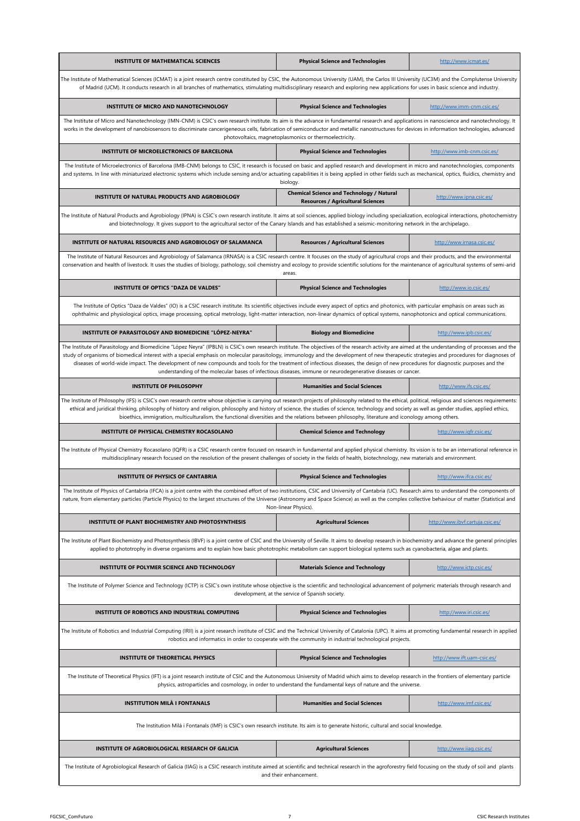| <b>INSTITUTE OF MATHEMATICAL SCIENCES</b>                                                                                                                                                                                                                                                                                                                                                                                                                                                                                                                                                                                                                                                          | <b>Physical Science and Technologies</b>                                                                                                                                                                                                                                                                                                                                                                                                             | http://www.icmat.es/             |  |
|----------------------------------------------------------------------------------------------------------------------------------------------------------------------------------------------------------------------------------------------------------------------------------------------------------------------------------------------------------------------------------------------------------------------------------------------------------------------------------------------------------------------------------------------------------------------------------------------------------------------------------------------------------------------------------------------------|------------------------------------------------------------------------------------------------------------------------------------------------------------------------------------------------------------------------------------------------------------------------------------------------------------------------------------------------------------------------------------------------------------------------------------------------------|----------------------------------|--|
| The Institute of Mathematical Sciences (ICMAT) is a joint research centre constituted by CSIC, the Autonomous University (UAM), the Carlos III University (UC3M) and the Complutense University<br>of Madrid (UCM). It conducts research in all branches of mathematics, stimulating multidisciplinary research and exploring new applications for uses in basic science and industry.                                                                                                                                                                                                                                                                                                             |                                                                                                                                                                                                                                                                                                                                                                                                                                                      |                                  |  |
| INSTITUTE OF MICRO AND NANOTECHNOLOGY                                                                                                                                                                                                                                                                                                                                                                                                                                                                                                                                                                                                                                                              | <b>Physical Science and Technologies</b>                                                                                                                                                                                                                                                                                                                                                                                                             | http://www.imm-cnm.csic.es/      |  |
|                                                                                                                                                                                                                                                                                                                                                                                                                                                                                                                                                                                                                                                                                                    | The Institute of Micro and Nanotechnology (IMN-CNM) is CSIC's own research institute. Its aim is the advance in fundamental research and applications in nanoscience and nanotechnology. It<br>works in the development of nanobiosensors to discriminate cancerigeneous cells, fabrication of semiconductor and metallic nanostructures for devices in information technologies, advanced<br>photovoltaics, magnetoplasmonics or thermoelectricity. |                                  |  |
| INSTITUTE OF MICROELECTRONICS OF BARCELONA                                                                                                                                                                                                                                                                                                                                                                                                                                                                                                                                                                                                                                                         | <b>Physical Science and Technologies</b>                                                                                                                                                                                                                                                                                                                                                                                                             | http://www.imb-cnm.csic.es/      |  |
| The Institute of Microelectronics of Barcelona (IMB-CNM) belongs to CSIC, it research is focused on basic and applied research and development in micro and nanotechnologies, components<br>and systems. In line with miniaturized electronic systems which include sensing and/or actuating capabilities it is being applied in other fields such as mechanical, optics, fluidics, chemistry and                                                                                                                                                                                                                                                                                                  | biology.                                                                                                                                                                                                                                                                                                                                                                                                                                             |                                  |  |
| INSTITUTE OF NATURAL PRODUCTS AND AGROBIOLOGY                                                                                                                                                                                                                                                                                                                                                                                                                                                                                                                                                                                                                                                      | <b>Chemical Science and Technology / Natural</b><br><b>Resources / Agricultural Sciences</b>                                                                                                                                                                                                                                                                                                                                                         | http://www.ipna.csic.es/         |  |
| The Institute of Natural Products and Agrobiology (IPNA) is CSIC's own research institute. It aims at soil sciences, applied biology including specialization, ecological interactions, photochemistry<br>and biotechnology. It gives support to the agricultural sector of the Canary Islands and has established a seismic-monitoring network in the archipelago.                                                                                                                                                                                                                                                                                                                                |                                                                                                                                                                                                                                                                                                                                                                                                                                                      |                                  |  |
| INSTITUTE OF NATURAL RESOURCES AND AGROBIOLOGY OF SALAMANCA                                                                                                                                                                                                                                                                                                                                                                                                                                                                                                                                                                                                                                        | <b>Resources / Agricultural Sciences</b>                                                                                                                                                                                                                                                                                                                                                                                                             | http://www.irnasa.csic.es/       |  |
| The Institute of Natural Resources and Agrobiology of Salamanca (IRNASA) is a CSIC research centre. It focuses on the study of agricultural crops and their products, and the environmental<br>conservation and health of livestock. It uses the studies of biology, pathology, soil chemistry and ecology to provide scientific solutions for the maintenance of agricultural systems of semi-arid                                                                                                                                                                                                                                                                                                | areas.                                                                                                                                                                                                                                                                                                                                                                                                                                               |                                  |  |
| INSTITUTE OF OPTICS "DAZA DE VALDES"                                                                                                                                                                                                                                                                                                                                                                                                                                                                                                                                                                                                                                                               | <b>Physical Science and Technologies</b>                                                                                                                                                                                                                                                                                                                                                                                                             | http://www.io.csic.es/           |  |
| The Institute of Optics "Daza de Valdes" (IO) is a CSIC research institute. Its scientific objectives include every aspect of optics and photonics, with particular emphasis on areas such as<br>ophthalmic and physiological optics, image processing, optical metrology, light-matter interaction, non-linear dynamics of optical systems, nanophotonics and optical communications.                                                                                                                                                                                                                                                                                                             |                                                                                                                                                                                                                                                                                                                                                                                                                                                      |                                  |  |
| INSTITUTE OF PARASITOLOGY AND BIOMEDICINE "LÓPEZ-NEYRA"                                                                                                                                                                                                                                                                                                                                                                                                                                                                                                                                                                                                                                            | <b>Biology and Biomedicine</b>                                                                                                                                                                                                                                                                                                                                                                                                                       | http://www.ipb.csic.es/          |  |
| The Institute of Parasitology and Biomedicine "López Neyra" (IPBLN) is CSIC's own research institute. The objectives of the research activity are aimed at the understanding of processes and the<br>study of organisms of biomedical interest with a special emphasis on molecular parasitology, immunology and the development of new therapeutic strategies and procedures for diagnoses of<br>diseases of world-wide impact. The development of new compounds and tools for the treatment of infectious diseases, the design of new procedures for diagnostic purposes and the<br>understanding of the molecular bases of infectious diseases, immune or neurodegenerative diseases or cancer. |                                                                                                                                                                                                                                                                                                                                                                                                                                                      |                                  |  |
| <b>INSTITUTE OF PHILOSOPHY</b>                                                                                                                                                                                                                                                                                                                                                                                                                                                                                                                                                                                                                                                                     | <b>Humanities and Social Sciences</b>                                                                                                                                                                                                                                                                                                                                                                                                                | http://www.ifs.csic.es/          |  |
| The Institute of Philosophy (IFS) is CSIC's own research centre whose objective is carrying out research projects of philosophy related to the ethical, political, religious and sciences requirements:<br>ethical and juridical thinking, philosophy of history and religion, philosophy and history of science, the studies of science, technology and society as well as gender studies, applied ethics,<br>bioethics, immigration, multiculturalism, the functional diversities and the relations between philosophy, literature and iconology among others.                                                                                                                                   |                                                                                                                                                                                                                                                                                                                                                                                                                                                      |                                  |  |
| <b>INSTITUTE OF PHYSICAL CHEMISTRY ROCASOLANO</b>                                                                                                                                                                                                                                                                                                                                                                                                                                                                                                                                                                                                                                                  | <b>Chemical Science and Technology</b>                                                                                                                                                                                                                                                                                                                                                                                                               | http://www.igfr.csic.es/         |  |
| The Institute of Physical Chemistry Rocasolano (IQFR) is a CSIC research centre focused on research in fundamental and applied physical chemistry. Its vision is to be an international reference in<br>multidisciplinary research focused on the resolution of the present challenges of society in the fields of health, biotechnology, new materials and environment.                                                                                                                                                                                                                                                                                                                           |                                                                                                                                                                                                                                                                                                                                                                                                                                                      |                                  |  |
| <b>INSTITUTE OF PHYSICS OF CANTABRIA</b>                                                                                                                                                                                                                                                                                                                                                                                                                                                                                                                                                                                                                                                           | <b>Physical Science and Technologies</b>                                                                                                                                                                                                                                                                                                                                                                                                             | http://www.ifca.csic.es/         |  |
| The Institute of Physics of Cantabria (IFCA) is a joint centre with the combined effort of two institutions, CSIC and University of Cantabria (UC). Research aims to understand the components of<br>nature, from elementary particles (Particle Physics) to the largest structures of the Universe (Astronomy and Space Science) as well as the complex collective behaviour of matter (Statistical and                                                                                                                                                                                                                                                                                           | Non-linear Physics).                                                                                                                                                                                                                                                                                                                                                                                                                                 |                                  |  |
| INSTITUTE OF PLANT BIOCHEMISTRY AND PHOTOSYNTHESIS                                                                                                                                                                                                                                                                                                                                                                                                                                                                                                                                                                                                                                                 | <b>Agricultural Sciences</b>                                                                                                                                                                                                                                                                                                                                                                                                                         | http://www.ibvf.cartuja.csic.es/ |  |
| The Institute of Plant Biochemistry and Photosynthesis (IBVF) is a joint centre of CSIC and the University of Seville. It aims to develop research in biochemistry and advance the general principles<br>applied to phototrophy in diverse organisms and to explain how basic phototrophic metabolism can support biological systems such as cyanobacteria, algae and plants.                                                                                                                                                                                                                                                                                                                      |                                                                                                                                                                                                                                                                                                                                                                                                                                                      |                                  |  |
| INSTITUTE OF POLYMER SCIENCE AND TECHNOLOGY                                                                                                                                                                                                                                                                                                                                                                                                                                                                                                                                                                                                                                                        | <b>Materials Science and Technology</b>                                                                                                                                                                                                                                                                                                                                                                                                              | http://www.ictp.csic.es/         |  |
| The Institute of Polymer Science and Technology (ICTP) is CSIC's own institute whose objective is the scientific and technological advancement of polymeric materials through research and                                                                                                                                                                                                                                                                                                                                                                                                                                                                                                         | development, at the service of Spanish society.                                                                                                                                                                                                                                                                                                                                                                                                      |                                  |  |
| INSTITUTE OF ROBOTICS AND INDUSTRIAL COMPUTING                                                                                                                                                                                                                                                                                                                                                                                                                                                                                                                                                                                                                                                     | <b>Physical Science and Technologies</b>                                                                                                                                                                                                                                                                                                                                                                                                             | http://www.iri.csic.es/          |  |
| The Institute of Robotics and Industrial Computing (IRII) is a joint research institute of CSIC and the Technical University of Catalonia (UPC). It aims at promoting fundamental research in applied                                                                                                                                                                                                                                                                                                                                                                                                                                                                                              | robotics and informatics in order to cooperate with the community in industrial technological projects.                                                                                                                                                                                                                                                                                                                                              |                                  |  |
| <b>INSTITUTE OF THEORETICAL PHYSICS</b>                                                                                                                                                                                                                                                                                                                                                                                                                                                                                                                                                                                                                                                            | <b>Physical Science and Technologies</b>                                                                                                                                                                                                                                                                                                                                                                                                             | http://www.ift.uam-csic.es/      |  |
| The Institute of Theoretical Physics (IFT) is a joint research institute of CSIC and the Autonomous University of Madrid which aims to develop research in the frontiers of elementary particle<br>physics, astroparticles and cosmology, in order to understand the fundamental keys of nature and the universe.                                                                                                                                                                                                                                                                                                                                                                                  |                                                                                                                                                                                                                                                                                                                                                                                                                                                      |                                  |  |
| <b>INSTITUTION MILÀ I FONTANALS</b>                                                                                                                                                                                                                                                                                                                                                                                                                                                                                                                                                                                                                                                                | <b>Humanities and Social Sciences</b>                                                                                                                                                                                                                                                                                                                                                                                                                | http://www.imf.csic.es/          |  |
| The Institution Milá i Fontanals (IMF) is CSIC's own research institute. Its aim is to generate historic, cultural and social knowledge.                                                                                                                                                                                                                                                                                                                                                                                                                                                                                                                                                           |                                                                                                                                                                                                                                                                                                                                                                                                                                                      |                                  |  |
| INSTITUTE OF AGROBIOLOGICAL RESEARCH OF GALICIA                                                                                                                                                                                                                                                                                                                                                                                                                                                                                                                                                                                                                                                    | <b>Agricultural Sciences</b>                                                                                                                                                                                                                                                                                                                                                                                                                         | http://www.iiag.csic.es/         |  |
| The Institute of Agrobiological Research of Galicia (IIAG) is a CSIC research institute aimed at scientific and technical research in the agroforestry field focusing on the study of soil and plants<br>and their enhancement.                                                                                                                                                                                                                                                                                                                                                                                                                                                                    |                                                                                                                                                                                                                                                                                                                                                                                                                                                      |                                  |  |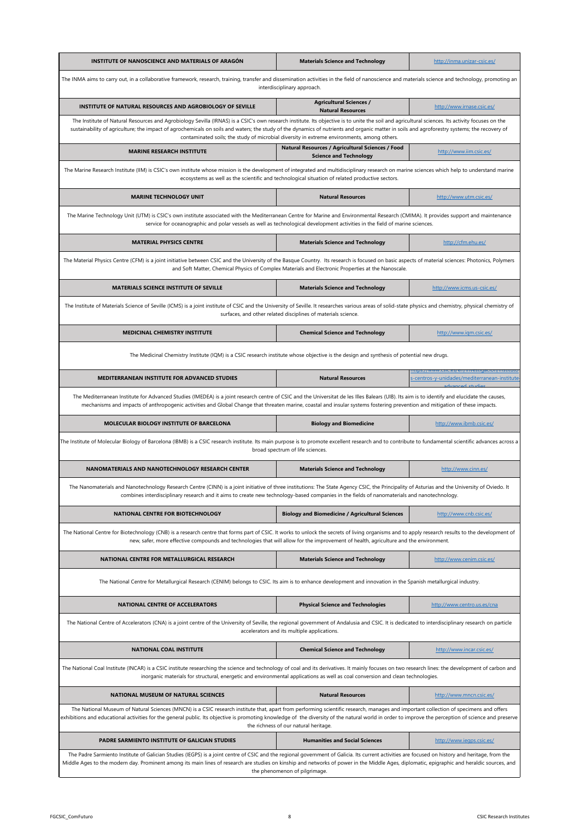| INSTITUTE OF NANOSCIENCE AND MATERIALS OF ARAGÓN                                                                                                                                                                                                                                                                                                                                                                                                                                                | <b>Materials Science and Technology</b>                                                                                      | http://inma.unizar-csic.es/                  |  |
|-------------------------------------------------------------------------------------------------------------------------------------------------------------------------------------------------------------------------------------------------------------------------------------------------------------------------------------------------------------------------------------------------------------------------------------------------------------------------------------------------|------------------------------------------------------------------------------------------------------------------------------|----------------------------------------------|--|
| The INMA aims to carry out, in a collaborative framework, research, training, transfer and dissemination activities in the field of nanoscience and materials science and technology, promoting an<br>interdisciplinary approach.                                                                                                                                                                                                                                                               |                                                                                                                              |                                              |  |
| INSTITUTE OF NATURAL RESOURCES AND AGROBIOLOGY OF SEVILLE                                                                                                                                                                                                                                                                                                                                                                                                                                       | <b>Agricultural Sciences /</b><br><b>Natural Resources</b>                                                                   | http://www.irnase.csic.es/                   |  |
| The Institute of Natural Resources and Agrobiology Sevilla (IRNAS) is a CSIC's own research institute. Its objective is to unite the soil and agricultural sciences. Its activity focuses on the<br>sustainability of agriculture; the impact of agrochemicals on soils and waters; the study of the dynamics of nutrients and organic matter in soils and agroforestry systems; the recovery of<br>contaminated soils; the study of microbial diversity in extreme environments, among others. |                                                                                                                              |                                              |  |
| <b>MARINE RESEARCH INSTITUTE</b>                                                                                                                                                                                                                                                                                                                                                                                                                                                                | Natural Resources / Agricultural Sciences / Food<br><b>Science and Technology</b>                                            | http://www.iim.csic.es/                      |  |
| The Marine Research Institute (IIM) is CSIC's own institute whose mission is the development of integrated and multidisciplinary research on marine sciences which help to understand marine                                                                                                                                                                                                                                                                                                    | ecosystems as well as the scientific and technological situation of related productive sectors.                              |                                              |  |
| <b>MARINE TECHNOLOGY UNIT</b>                                                                                                                                                                                                                                                                                                                                                                                                                                                                   | <b>Natural Resources</b>                                                                                                     | http://www.utm.csic.es/                      |  |
| The Marine Technology Unit (UTM) is CSIC's own institute associated with the Mediterranean Centre for Marine and Environmental Research (CMIMA). It provides support and maintenance                                                                                                                                                                                                                                                                                                            | service for oceanographic and polar vessels as well as technological development activities in the field of marine sciences. |                                              |  |
| <b>MATERIAL PHYSICS CENTRE</b>                                                                                                                                                                                                                                                                                                                                                                                                                                                                  | <b>Materials Science and Technology</b>                                                                                      | http://cfm.ehu.es/                           |  |
| The Material Physics Centre (CFM) is a joint initiative between CSIC and the University of the Basque Country. Its research is focused on basic aspects of material sciences: Photonics, Polymers                                                                                                                                                                                                                                                                                               | and Soft Matter, Chemical Physics of Complex Materials and Electronic Properties at the Nanoscale.                           |                                              |  |
| MATERIALS SCIENCE INSTITUTE OF SEVILLE                                                                                                                                                                                                                                                                                                                                                                                                                                                          | <b>Materials Science and Technology</b>                                                                                      | http://www.icms.us-csic.es/                  |  |
| The Institute of Materials Science of Seville (ICMS) is a joint institute of CSIC and the University of Seville. It researches various areas of solid-state physics and chemistry, physical chemistry of                                                                                                                                                                                                                                                                                        | surfaces, and other related disciplines of materials science.                                                                |                                              |  |
| <b>MEDICINAL CHEMISTRY INSTITUTE</b>                                                                                                                                                                                                                                                                                                                                                                                                                                                            | <b>Chemical Science and Technology</b>                                                                                       | http://www.igm.csic.es/                      |  |
| The Medicinal Chemistry Institute (IQM) is a CSIC research institute whose objective is the design and synthesis of potential new drugs.                                                                                                                                                                                                                                                                                                                                                        |                                                                                                                              |                                              |  |
| MEDITERRANEAN INSTITUTE FOR ADVANCED STUDIES                                                                                                                                                                                                                                                                                                                                                                                                                                                    | <b>Natural Resources</b>                                                                                                     | s-centros-y-unidades/mediterranean-institute |  |
| The Mediterranean Institute for Advanced Studies (IMEDEA) is a joint research centre of CSIC and the Universitat de les Illes Balears (UIB). Its aim is to identify and elucidate the causes,<br>mechanisms and impacts of anthropogenic activities and Global Change that threaten marine, coastal and insular systems fostering prevention and mitigation of these impacts.                                                                                                                   |                                                                                                                              |                                              |  |
| MOLECULAR BIOLOGY INSTITUTE OF BARCELONA                                                                                                                                                                                                                                                                                                                                                                                                                                                        | <b>Biology and Biomedicine</b>                                                                                               | http://www.ibmb.csic.es/                     |  |
| The Institute of Molecular Biology of Barcelona (IBMB) is a CSIC research institute. Its main purpose is to promote excellent research and to contribute to fundamental scientific advances across a<br>broad spectrum of life sciences.                                                                                                                                                                                                                                                        |                                                                                                                              |                                              |  |
| NANOMATERIALS AND NANOTECHNOLOGY RESEARCH CENTER                                                                                                                                                                                                                                                                                                                                                                                                                                                | <b>Materials Science and Technology</b>                                                                                      | http://www.cinn.es/                          |  |
| The Nanomaterials and Nanotechnology Research Centre (CINN) is a joint initiative of three institutions: The State Agency CSIC, the Principality of Asturias and the University of Oviedo. It<br>combines interdisciplinary research and it aims to create new technology-based companies in the fields of nanomaterials and nanotechnology.                                                                                                                                                    |                                                                                                                              |                                              |  |
| NATIONAL CENTRE FOR BIOTECHNOLOGY                                                                                                                                                                                                                                                                                                                                                                                                                                                               | <b>Biology and Biomedicine / Agricultural Sciences</b>                                                                       | http://www.cnb.csic.es/                      |  |
| The National Centre for Biotechnology (CNB) is a research centre that forms part of CSIC. It works to unlock the secrets of living organisms and to apply research results to the development of<br>new, safer, more effective compounds and technologies that will allow for the improvement of health, agriculture and the environment.                                                                                                                                                       |                                                                                                                              |                                              |  |
| NATIONAL CENTRE FOR METALLURGICAL RESEARCH                                                                                                                                                                                                                                                                                                                                                                                                                                                      | <b>Materials Science and Technology</b>                                                                                      | http://www.cenim.csic.es/                    |  |
| The National Centre for Metallurgical Research (CENIM) belongs to CSIC. Its aim is to enhance development and innovation in the Spanish metallurgical industry.                                                                                                                                                                                                                                                                                                                                 |                                                                                                                              |                                              |  |
| <b>NATIONAL CENTRE OF ACCELERATORS</b>                                                                                                                                                                                                                                                                                                                                                                                                                                                          | <b>Physical Science and Technologies</b>                                                                                     | http://www.centro.us.es/cna                  |  |
| The National Centre of Accelerators (CNA) is a joint centre of the University of Seville, the regional government of Andalusia and CSIC. It is dedicated to interdisciplinary research on particle                                                                                                                                                                                                                                                                                              | accelerators and its multiple applications.                                                                                  |                                              |  |
| <b>NATIONAL COAL INSTITUTE</b>                                                                                                                                                                                                                                                                                                                                                                                                                                                                  | <b>Chemical Science and Technology</b>                                                                                       | http://www.incar.csic.es/                    |  |
| The National Coal Institute (INCAR) is a CSIC institute researching the science and technology of coal and its derivatives. It mainly focuses on two research lines: the development of carbon and<br>inorganic materials for structural, energetic and environmental applications as well as coal conversion and clean technologies.                                                                                                                                                           |                                                                                                                              |                                              |  |
| NATIONAL MUSEUM OF NATURAL SCIENCES                                                                                                                                                                                                                                                                                                                                                                                                                                                             | <b>Natural Resources</b>                                                                                                     | http://www.mncn.csic.es/                     |  |
| The National Museum of Natural Sciences (MNCN) is a CSIC research institute that, apart from performing scientific research, manages and important collection of specimens and offers<br>exhibitions and educational activities for the general public. Its objective is promoting knowledge of the diversity of the natural world in order to improve the perception of science and preserve<br>the richness of our natural heritage.                                                          |                                                                                                                              |                                              |  |
| PADRE SARMIENTO INSTITUTE OF GALICIAN STUDIES                                                                                                                                                                                                                                                                                                                                                                                                                                                   | <b>Humanities and Social Sciences</b>                                                                                        | http://www.iegps.csic.es/                    |  |
| The Padre Sarmiento Institute of Galician Studies (IEGPS) is a joint centre of CSIC and the regional government of Galicia. Its current activities are focused on history and heritage, from the<br>Middle Ages to the modern day. Prominent among its main lines of research are studies on kinship and networks of power in the Middle Ages, diplomatic, epigraphic and heraldic sources, and<br>the phenomenon of pilgrimage.                                                                |                                                                                                                              |                                              |  |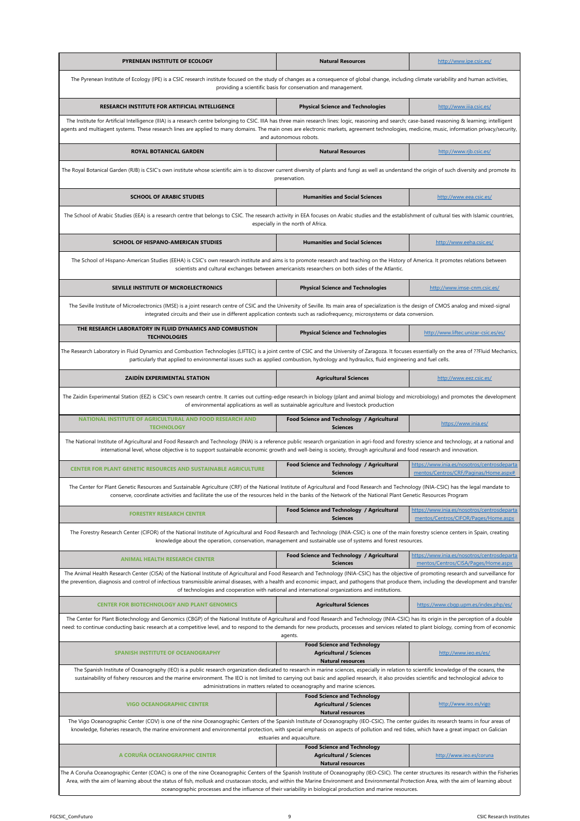| PYRENEAN INSTITUTE OF ECOLOGY                                                                                                                                                                                                                                                                                                                                                                                                                                                                                  | <b>Natural Resources</b>                                                                                     | http://www.ipe.csic.es/                                                              |  |
|----------------------------------------------------------------------------------------------------------------------------------------------------------------------------------------------------------------------------------------------------------------------------------------------------------------------------------------------------------------------------------------------------------------------------------------------------------------------------------------------------------------|--------------------------------------------------------------------------------------------------------------|--------------------------------------------------------------------------------------|--|
| The Pyrenean Institute of Ecology (IPE) is a CSIC research institute focused on the study of changes as a consequence of global change, including climate variability and human activities,<br>providing a scientific basis for conservation and management.                                                                                                                                                                                                                                                   |                                                                                                              |                                                                                      |  |
| RESEARCH INSTITUTE FOR ARTIFICIAL INTELLIGENCE                                                                                                                                                                                                                                                                                                                                                                                                                                                                 | <b>Physical Science and Technologies</b>                                                                     | http://www.iiia.csic.es/                                                             |  |
| The Institute for Artificial Intelligence (IIIA) is a research centre belonging to CSIC. IIIA has three main research lines: logic, reasoning and search; case-based reasoning & learning; intelligent<br>agents and multiagent systems. These research lines are applied to many domains. The main ones are electronic markets, agreement technologies, medicine, music, information privacy/security,                                                                                                        | and autonomous robots.                                                                                       |                                                                                      |  |
| ROYAL BOTANICAL GARDEN                                                                                                                                                                                                                                                                                                                                                                                                                                                                                         | <b>Natural Resources</b>                                                                                     | http://www.rjb.csic.es/                                                              |  |
| The Royal Botanical Garden (RJB) is CSIC's own institute whose scientific aim is to discover current diversity of plants and fungi as well as understand the origin of such diversity and promote its                                                                                                                                                                                                                                                                                                          | preservation.                                                                                                |                                                                                      |  |
| <b>SCHOOL OF ARABIC STUDIES</b>                                                                                                                                                                                                                                                                                                                                                                                                                                                                                | <b>Humanities and Social Sciences</b>                                                                        | http://www.eea.csic.es/                                                              |  |
| The School of Arabic Studies (EEA) is a research centre that belongs to CSIC. The research activity in EEA focuses on Arabic studies and the establishment of cultural ties with Islamic countries,                                                                                                                                                                                                                                                                                                            | especially in the north of Africa.                                                                           |                                                                                      |  |
| <b>SCHOOL OF HISPANO-AMERICAN STUDIES</b>                                                                                                                                                                                                                                                                                                                                                                                                                                                                      | <b>Humanities and Social Sciences</b>                                                                        | http://www.eeha.csic.es/                                                             |  |
| The School of Hispano-American Studies (EEHA) is CSIC's own research institute and aims is to promote research and teaching on the History of America. It promotes relations between                                                                                                                                                                                                                                                                                                                           | scientists and cultural exchanges between americanists researchers on both sides of the Atlantic.            |                                                                                      |  |
| SEVILLE INSTITUTE OF MICROELECTRONICS                                                                                                                                                                                                                                                                                                                                                                                                                                                                          | <b>Physical Science and Technologies</b>                                                                     | http://www.imse-cnm.csic.es/                                                         |  |
| The Seville Institute of Microelectronics (IMSE) is a joint research centre of CSIC and the University of Seville. Its main area of specialization is the design of CMOS analog and mixed-signal<br>integrated circuits and their use in different application contexts such as radiofrequency, microsystems or data conversion.                                                                                                                                                                               |                                                                                                              |                                                                                      |  |
| THE RESEARCH LABORATORY IN FLUID DYNAMICS AND COMBUSTION<br><b>TECHNOLOGIES</b>                                                                                                                                                                                                                                                                                                                                                                                                                                | <b>Physical Science and Technologies</b>                                                                     | http://www.liftec.unizar-csic.es/es/                                                 |  |
| The Research Laboratory in Fluid Dynamics and Combustion Technologies (LIFTEC) is a joint centre of CSIC and the University of Zaragoza. It focuses essentially on the area of ??Fluid Mechanics,<br>particularly that applied to environmental issues such as applied combustion, hydrology and hydraulics, fluid engineering and fuel cells.                                                                                                                                                                 |                                                                                                              |                                                                                      |  |
| ZAIDÍN EXPERIMENTAL STATION                                                                                                                                                                                                                                                                                                                                                                                                                                                                                    | <b>Agricultural Sciences</b>                                                                                 | http://www.eez.csic.es/                                                              |  |
| The Zaidin Experimental Station (EEZ) is CSIC's own research centre. It carries out cutting-edge research in biology (plant and animal biology and microbiology) and promotes the development                                                                                                                                                                                                                                                                                                                  | of environmental applications as well as sustainable agriculture and livestock production                    |                                                                                      |  |
| NATIONAL INSTITUTE OF AGRICULTURAL AND FOOD RESEARCH AND<br><b>TECHNOLOGY</b>                                                                                                                                                                                                                                                                                                                                                                                                                                  | Food Science and Technology / Agricultural<br><b>Sciences</b>                                                | https://www.inia.es/                                                                 |  |
| The National Institute of Agricultural and Food Research and Technology (INIA) is a reference public research organization in agri-food and forestry science and technology, at a national and<br>international level, whose objective is to support sustainable economic growth and well-being is society, through agricultural and food research and innovation.                                                                                                                                             |                                                                                                              |                                                                                      |  |
| <b>CENTER FOR PLANT GENETIC RESOURCES AND SUSTAINABLE AGRICULTURE</b>                                                                                                                                                                                                                                                                                                                                                                                                                                          | Food Science and Technology / Agricultural<br><b>Sciences</b>                                                | https://www.inia.es/nosotros/centrosdeparta<br>mentos/Centros/CRF/Paginas/Home.aspx# |  |
| The Center for Plant Genetic Resources and Sustainable Agriculture (CRF) of the National Institute of Agricultural and Food Research and Technology (INIA-CSIC) has the legal mandate to<br>conserve, coordinate activities and facilitate the use of the resources held in the banks of the Network of the National Plant Genetic Resources Program                                                                                                                                                           |                                                                                                              |                                                                                      |  |
| <b>FORESTRY RESEARCH CENTER</b>                                                                                                                                                                                                                                                                                                                                                                                                                                                                                | Food Science and Technology / Agricultural<br><b>Sciences</b>                                                | https://www.inia.es/nosotros/centrosdeparta<br>mentos/Centros/CIFOR/Pages/Home.aspx  |  |
| The Forestry Research Center (CIFOR) of the National Institute of Agricultural and Food Research and Technology (INIA-CSIC) is one of the main forestry science centers in Spain, creating                                                                                                                                                                                                                                                                                                                     | knowledge about the operation, conservation, management and sustainable use of systems and forest resources. |                                                                                      |  |
| <b>ANIMAL HEALTH RESEARCH CENTER</b>                                                                                                                                                                                                                                                                                                                                                                                                                                                                           | Food Science and Technology / Agricultural<br><b>Sciences</b>                                                | https://www.inia.es/nosotros/centrosdeparta<br>mentos/Centros/CISA/Pages/Home.aspx   |  |
| The Animal Health Research Center (CISA) of the National Institute of Agricultural and Food Research and Technology (INIA-CSIC) has the objective of promoting research and surveillance for<br>the prevention, diagnosis and control of infectious transmissible animal diseases, with a health and economic impact, and pathogens that produce them, including the development and transfer                                                                                                                  | of technologies and cooperation with national and international organizations and institutions.              |                                                                                      |  |
| <b>CENTER FOR BIOTECHNOLOGY AND PLANT GENOMICS</b>                                                                                                                                                                                                                                                                                                                                                                                                                                                             | <b>Agricultural Sciences</b>                                                                                 | https://www.cbgp.upm.es/index.php/es/                                                |  |
| The Center for Plant Biotechnology and Genomics (CBGP) of the National Institute of Agricultural and Food Research and Technology (INIA-CSIC) has its origin in the perception of a double<br>need: to continue conducting basic research at a competitive level, and to respond to the demands for new products, processes and services related to plant biology, coming from of economic                                                                                                                     | agents.                                                                                                      |                                                                                      |  |
| <b>SPANISH INSTITUTE OF OCEANOGRAPHY</b>                                                                                                                                                                                                                                                                                                                                                                                                                                                                       | <b>Food Science and Technology</b><br><b>Agricultural / Sciences</b><br><b>Natural resources</b>             | http://www.ieo.es/es/                                                                |  |
| The Spanish Institute of Oceanography (IEO) is a public research organization dedicated to research in marine sciences, especially in relation to scientific knowledge of the oceans, the<br>sustainability of fishery resources and the marine environment. The IEO is not limited to carrying out basic and applied research, it also provides scientific and technological advice to<br>administrations in matters related to oceanography and marine sciences.                                             |                                                                                                              |                                                                                      |  |
| <b>VIGO OCEANOGRAPHIC CENTER</b>                                                                                                                                                                                                                                                                                                                                                                                                                                                                               | <b>Food Science and Technology</b><br><b>Agricultural / Sciences</b><br><b>Natural resources</b>             | http://www.ieo.es/vigo                                                               |  |
| The Vigo Oceanographic Center (COV) is one of the nine Oceanographic Centers of the Spanish Institute of Oceanography (IEO-CSIC). The center guides its research teams in four areas of<br>knowledge, fisheries research, the marine environment and environmental protection, with special emphasis on aspects of pollution and red tides, which have a great impact on Galician<br>estuaries and aquaculture.                                                                                                |                                                                                                              |                                                                                      |  |
| A CORUÑA OCEANOGRAPHIC CENTER                                                                                                                                                                                                                                                                                                                                                                                                                                                                                  | <b>Food Science and Technology</b><br><b>Agricultural / Sciences</b><br><b>Natural resources</b>             | http://www.ieo.es/coruna                                                             |  |
| The A Coruña Oceanographic Center (COAC) is one of the nine Oceanographic Centers of the Spanish Institute of Oceanography (IEO-CSIC). The center structures its research within the Fisheries<br>Area, with the aim of learning about the status of fish, mollusk and crustacean stocks, and within the Marine Environment and Environmental Protection Area, with the aim of learning about<br>oceanographic processes and the influence of their variability in biological production and marine resources. |                                                                                                              |                                                                                      |  |